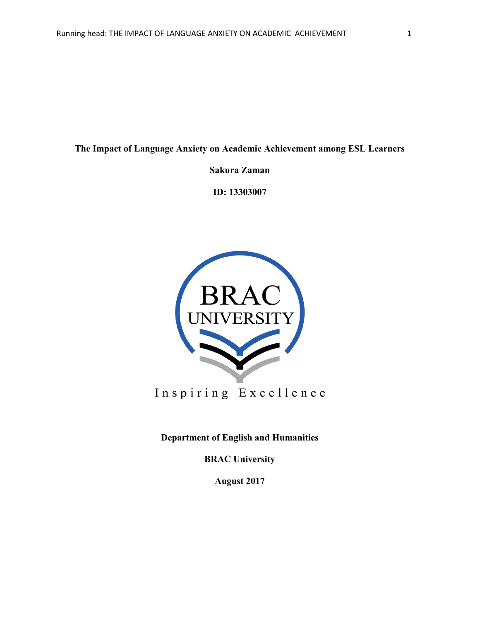**The Impact of Language Anxiety on Academic Achievement among ESL Learners**

**Sakura Zaman**

**ID: 13303007**



Inspiring Excellence

**Department of English and Humanities**

**BRAC University**

**August 2017**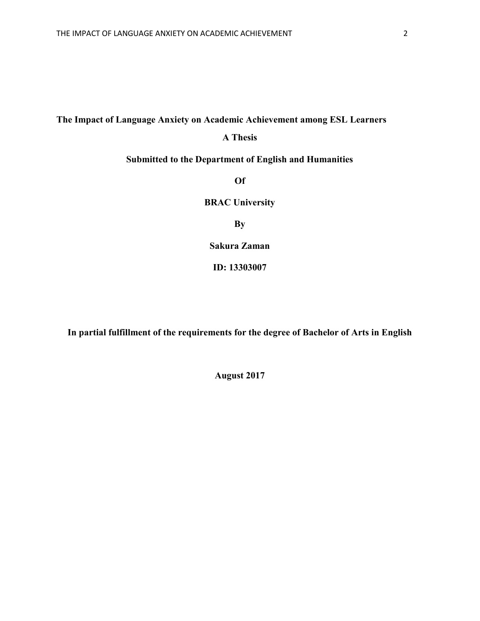# **The Impact of Language Anxiety on Academic Achievement among ESL Learners**

## **A Thesis**

# **Submitted to the Department of English and Humanities**

**Of**

**BRAC University**

**By**

**Sakura Zaman**

**ID: 13303007**

**In partial fulfillment of the requirements for the degree of Bachelor of Arts in English**

**August 2017**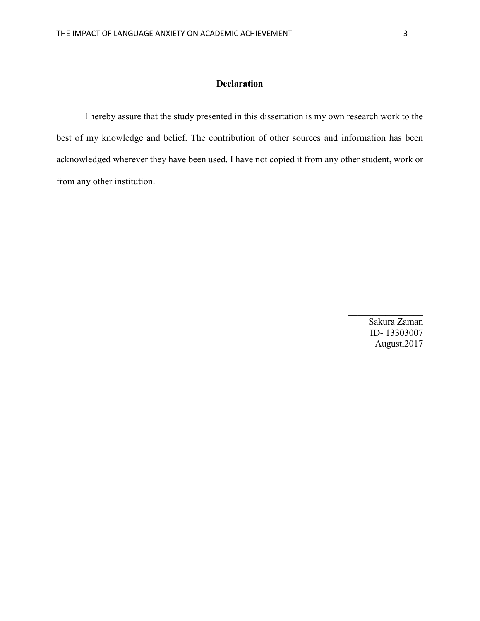## **Declaration**

I hereby assure that the study presented in this dissertation is my own research work to the best of my knowledge and belief. The contribution of other sources and information has been acknowledged wherever they have been used. I have not copied it from any other student, work or from any other institution.

> Sakura Zaman ID- 13303007 August,2017

 $\mathcal{L}_\text{max}$  . The set of the set of the set of the set of the set of the set of the set of the set of the set of the set of the set of the set of the set of the set of the set of the set of the set of the set of the set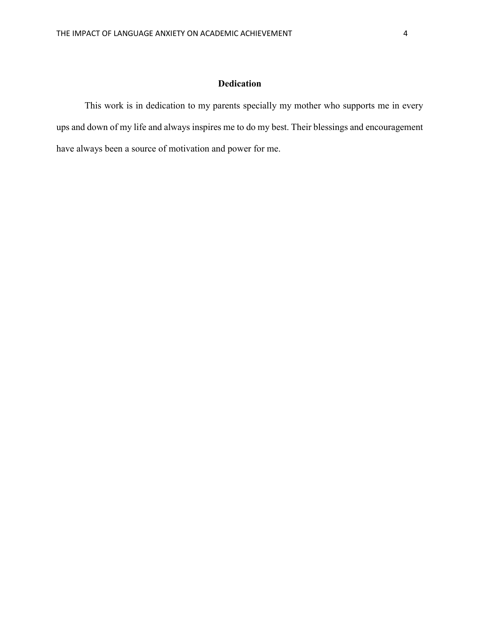### **Dedication**

This work is in dedication to my parents specially my mother who supports me in every ups and down of my life and always inspires me to do my best. Their blessings and encouragement have always been a source of motivation and power for me.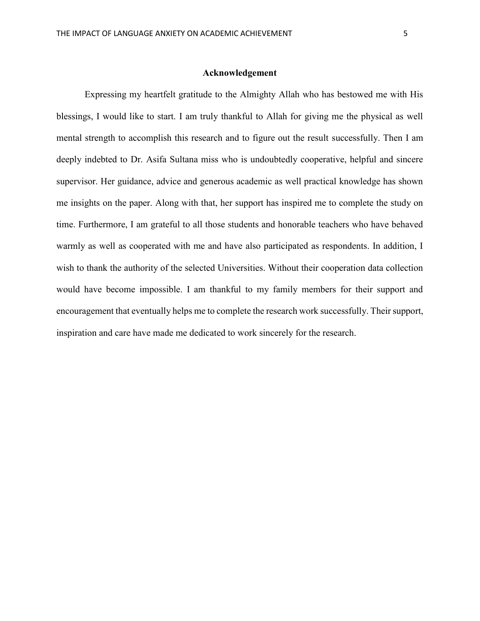Expressing my heartfelt gratitude to the Almighty Allah who has bestowed me with His blessings, I would like to start. I am truly thankful to Allah for giving me the physical as well mental strength to accomplish this research and to figure out the result successfully. Then I am deeply indebted to Dr. Asifa Sultana miss who is undoubtedly cooperative, helpful and sincere supervisor. Her guidance, advice and generous academic as well practical knowledge has shown me insights on the paper. Along with that, her support has inspired me to complete the study on time. Furthermore, I am grateful to all those students and honorable teachers who have behaved warmly as well as cooperated with me and have also participated as respondents. In addition, I wish to thank the authority of the selected Universities. Without their cooperation data collection would have become impossible. I am thankful to my family members for their support and encouragement that eventually helps me to complete the research work successfully. Their support, inspiration and care have made me dedicated to work sincerely for the research.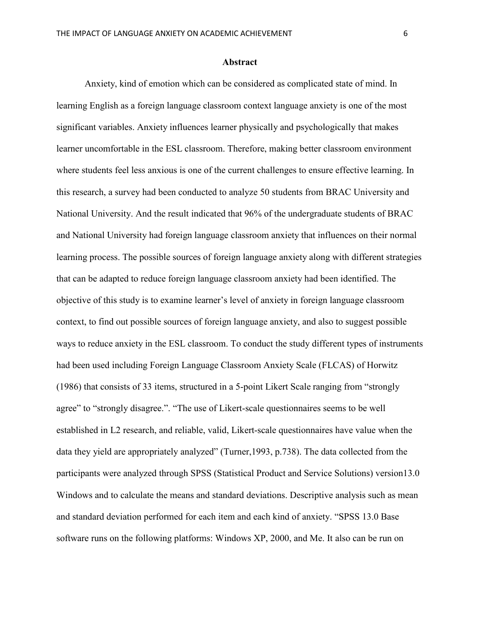### **Abstract**

Anxiety, kind of emotion which can be considered as complicated state of mind. In learning English as a foreign language classroom context language anxiety is one of the most significant variables. Anxiety influences learner physically and psychologically that makes learner uncomfortable in the ESL classroom. Therefore, making better classroom environment where students feel less anxious is one of the current challenges to ensure effective learning. In this research, a survey had been conducted to analyze 50 students from BRAC University and National University. And the result indicated that 96% of the undergraduate students of BRAC and National University had foreign language classroom anxiety that influences on their normal learning process. The possible sources of foreign language anxiety along with different strategies that can be adapted to reduce foreign language classroom anxiety had been identified. The objective of this study is to examine learner's level of anxiety in foreign language classroom context, to find out possible sources of foreign language anxiety, and also to suggest possible ways to reduce anxiety in the ESL classroom. To conduct the study different types of instruments had been used including Foreign Language Classroom Anxiety Scale (FLCAS) of Horwitz (1986) that consists of 33 items, structured in a 5-point Likert Scale ranging from "strongly agree" to "strongly disagree.". "The use of Likert-scale questionnaires seems to be well established in L2 research, and reliable, valid, Likert-scale questionnaires have value when the data they yield are appropriately analyzed" (Turner,1993, p.738). The data collected from the participants were analyzed through SPSS (Statistical Product and Service Solutions) version13.0 Windows and to calculate the means and standard deviations. Descriptive analysis such as mean and standard deviation performed for each item and each kind of anxiety. "SPSS 13.0 Base software runs on the following platforms: Windows XP, 2000, and Me. It also can be run on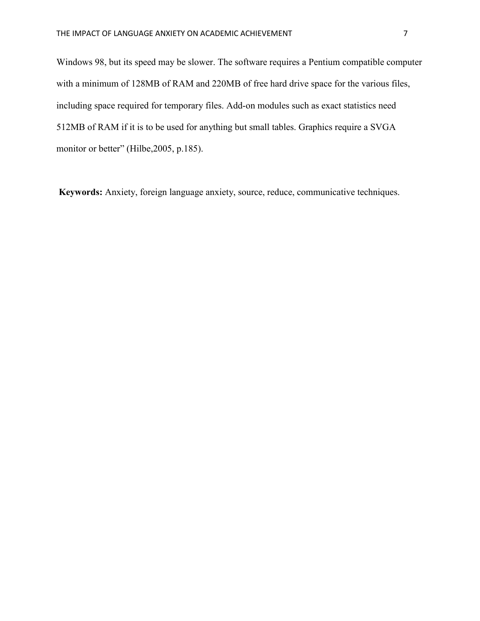Windows 98, but its speed may be slower. The software requires a Pentium compatible computer with a minimum of 128MB of RAM and 220MB of free hard drive space for the various files, including space required for temporary files. Add-on modules such as exact statistics need 512MB of RAM if it is to be used for anything but small tables. Graphics require a SVGA monitor or better" (Hilbe, 2005, p.185).

**Keywords:** Anxiety, foreign language anxiety, source, reduce, communicative techniques.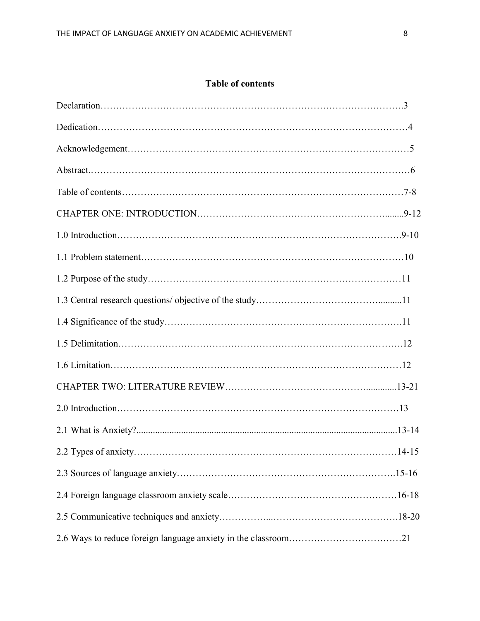# **Table of contents**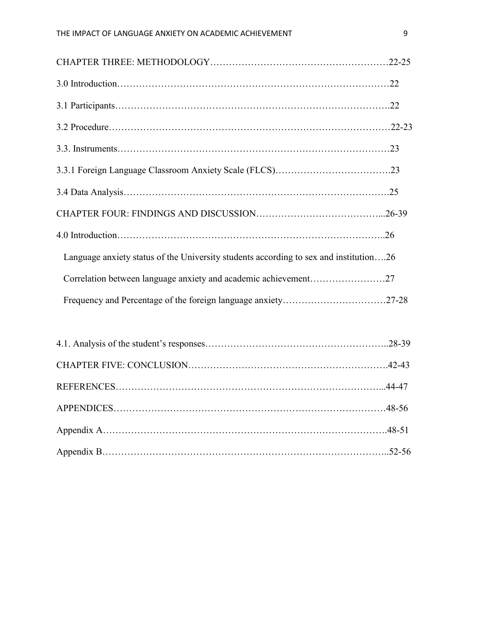| Language anxiety status of the University students according to sex and institution26 |  |
|---------------------------------------------------------------------------------------|--|
| Correlation between language anxiety and academic achievement27                       |  |
|                                                                                       |  |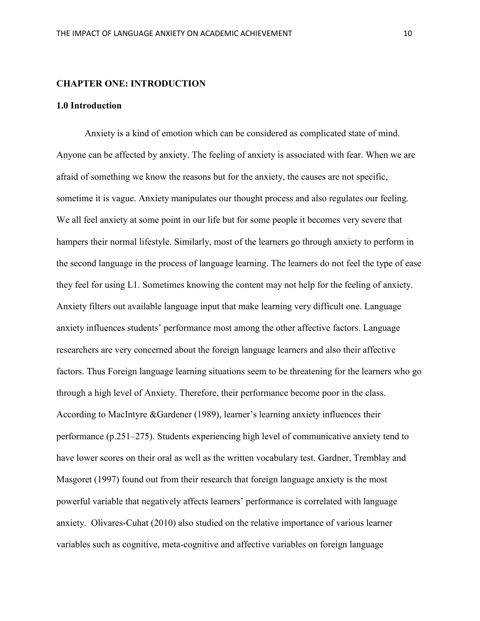### **CHAPTER ONE: INTRODUCTION**

### **1.0 Introduction**

Anxiety is a kind of emotion which can be considered as complicated state of mind. Anyone can be affected by anxiety. The feeling of anxiety is associated with fear. When we are afraid of something we know the reasons but for the anxiety, the causes are not specific, sometime it is vague. Anxiety manipulates our thought process and also regulates our feeling. We all feel anxiety at some point in our life but for some people it becomes very severe that hampers their normal lifestyle. Similarly, most of the learners go through anxiety to perform in the second language in the process of language learning. The learners do not feel the type of ease they feel for using L1. Sometimes knowing the content may not help for the feeling of anxiety. Anxiety filters out available language input that make learning very difficult one. Language anxiety influences students' performance most among the other affective factors. Language researchers are very concerned about the foreign language learners and also their affective factors. Thus Foreign language learning situations seem to be threatening for the learners who go through a high level of Anxiety. Therefore, their performance become poor in the class. According to MacIntyre &Gardener (1989), learner's learning anxiety influences their performance (p.251–275). Students experiencing high level of communicative anxiety tend to have lower scores on their oral as well as the written vocabulary test. Gardner, Tremblay and Masgoret (1997) found out from their research that foreign language anxiety is the most powerful variable that negatively affects learners' performance is correlated with language anxiety. Olivares-Cuhat (2010) also studied on the relative importance of various learner variables such as cognitive, meta-cognitive and affective variables on foreign language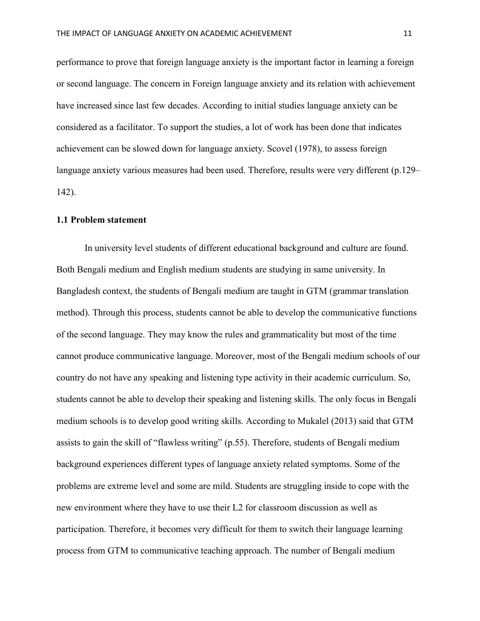performance to prove that foreign language anxiety is the important factor in learning a foreign or second language. The concern in Foreign language anxiety and its relation with achievement have increased since last few decades. According to initial studies language anxiety can be considered as a facilitator. To support the studies, a lot of work has been done that indicates achievement can be slowed down for language anxiety. Scovel (1978), to assess foreign language anxiety various measures had been used. Therefore, results were very different (p.129– 142).

### **1.1 Problem statement**

In university level students of different educational background and culture are found. Both Bengali medium and English medium students are studying in same university. In Bangladesh context, the students of Bengali medium are taught in GTM (grammar translation method). Through this process, students cannot be able to develop the communicative functions of the second language. They may know the rules and grammaticality but most of the time cannot produce communicative language. Moreover, most of the Bengali medium schools of our country do not have any speaking and listening type activity in their academic curriculum. So, students cannot be able to develop their speaking and listening skills. The only focus in Bengali medium schools is to develop good writing skills. According to Mukalel (2013) said that GTM assists to gain the skill of "flawless writing" (p.55). Therefore, students of Bengali medium background experiences different types of language anxiety related symptoms. Some of the problems are extreme level and some are mild. Students are struggling inside to cope with the new environment where they have to use their L2 for classroom discussion as well as participation. Therefore, it becomes very difficult for them to switch their language learning process from GTM to communicative teaching approach. The number of Bengali medium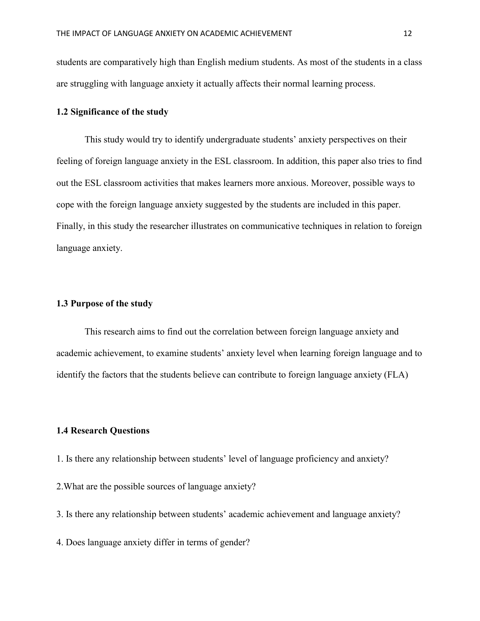students are comparatively high than English medium students. As most of the students in a class are struggling with language anxiety it actually affects their normal learning process.

### **1.2 Significance of the study**

This study would try to identify undergraduate students' anxiety perspectives on their feeling of foreign language anxiety in the ESL classroom. In addition, this paper also tries to find out the ESL classroom activities that makes learners more anxious. Moreover, possible ways to cope with the foreign language anxiety suggested by the students are included in this paper. Finally, in this study the researcher illustrates on communicative techniques in relation to foreign language anxiety.

### **1.3 Purpose of the study**

This research aims to find out the correlation between foreign language anxiety and academic achievement, to examine students' anxiety level when learning foreign language and to identify the factors that the students believe can contribute to foreign language anxiety (FLA)

### **1.4 Research Questions**

- 1. Is there any relationship between students' level of language proficiency and anxiety?
- 2.What are the possible sources of language anxiety?
- 3. Is there any relationship between students' academic achievement and language anxiety?

4. Does language anxiety differ in terms of gender?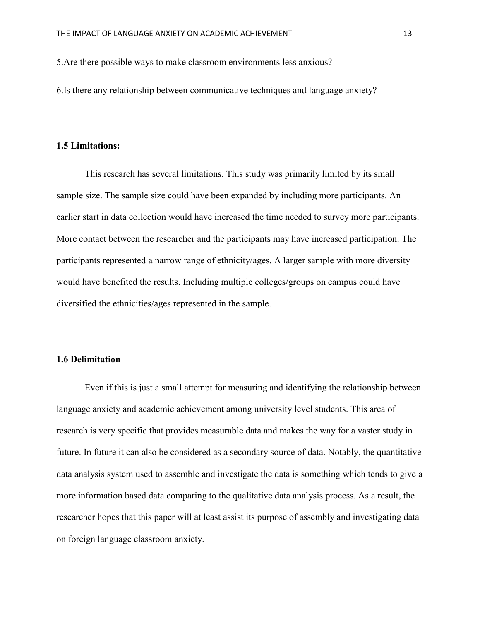5.Are there possible ways to make classroom environments less anxious?

6.Is there any relationship between communicative techniques and language anxiety?

### **1.5 Limitations:**

This research has several limitations. This study was primarily limited by its small sample size. The sample size could have been expanded by including more participants. An earlier start in data collection would have increased the time needed to survey more participants. More contact between the researcher and the participants may have increased participation. The participants represented a narrow range of ethnicity/ages. A larger sample with more diversity would have benefited the results. Including multiple colleges/groups on campus could have diversified the ethnicities/ages represented in the sample.

### **1.6 Delimitation**

Even if this is just a small attempt for measuring and identifying the relationship between language anxiety and academic achievement among university level students. This area of research is very specific that provides measurable data and makes the way for a vaster study in future. In future it can also be considered as a secondary source of data. Notably, the quantitative data analysis system used to assemble and investigate the data is something which tends to give a more information based data comparing to the qualitative data analysis process. As a result, the researcher hopes that this paper will at least assist its purpose of assembly and investigating data on foreign language classroom anxiety.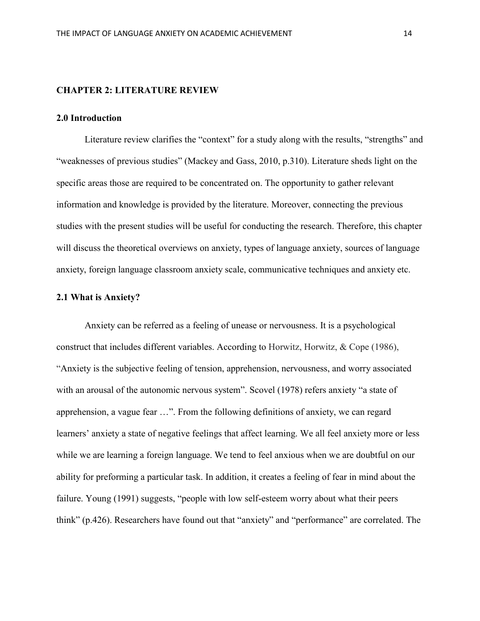### **CHAPTER 2: LITERATURE REVIEW**

### **2.0 Introduction**

Literature review clarifies the "context" for a study along with the results, "strengths" and "weaknesses of previous studies" (Mackey and Gass, 2010, p.310). Literature sheds light on the specific areas those are required to be concentrated on. The opportunity to gather relevant information and knowledge is provided by the literature. Moreover, connecting the previous studies with the present studies will be useful for conducting the research. Therefore, this chapter will discuss the theoretical overviews on anxiety, types of language anxiety, sources of language anxiety, foreign language classroom anxiety scale, communicative techniques and anxiety etc.

### **2.1 What is Anxiety?**

Anxiety can be referred as a feeling of unease or nervousness. It is a psychological construct that includes different variables. According to Horwitz, Horwitz, & Cope (1986), "Anxiety is the subjective feeling of tension, apprehension, nervousness, and worry associated with an arousal of the autonomic nervous system". Scovel (1978) refers anxiety "a state of apprehension, a vague fear …". From the following definitions of anxiety, we can regard learners' anxiety a state of negative feelings that affect learning. We all feel anxiety more or less while we are learning a foreign language. We tend to feel anxious when we are doubtful on our ability for preforming a particular task. In addition, it creates a feeling of fear in mind about the failure. Young (1991) suggests, "people with low self-esteem worry about what their peers think" (p.426). Researchers have found out that "anxiety" and "performance" are correlated. The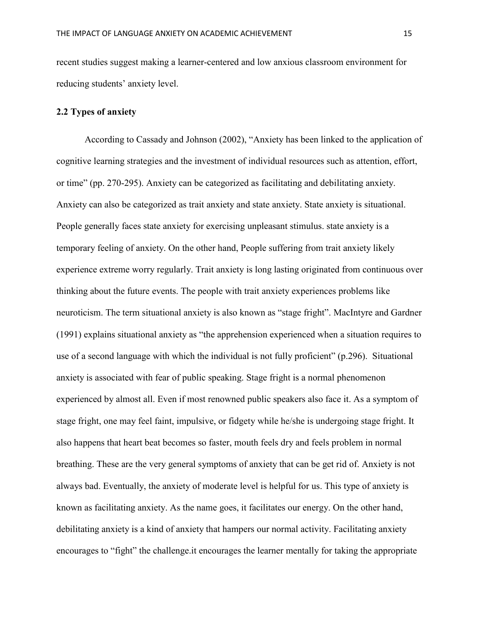recent studies suggest making a learner-centered and low anxious classroom environment for reducing students' anxiety level.

### **2.2 Types of anxiety**

According to Cassady and Johnson (2002), "Anxiety has been linked to the application of cognitive learning strategies and the investment of individual resources such as attention, effort, or time" (pp. 270-295). Anxiety can be categorized as facilitating and debilitating anxiety. Anxiety can also be categorized as trait anxiety and state anxiety. State anxiety is situational. People generally faces state anxiety for exercising unpleasant stimulus. state anxiety is a temporary feeling of anxiety. On the other hand, People suffering from trait anxiety likely experience extreme worry regularly. Trait anxiety is long lasting originated from continuous over thinking about the future events. The people with trait anxiety experiences problems like neuroticism. The term situational anxiety is also known as "stage fright". MacIntyre and Gardner (1991) explains situational anxiety as "the apprehension experienced when a situation requires to use of a second language with which the individual is not fully proficient" (p.296). Situational anxiety is associated with fear of public speaking. Stage fright is a normal phenomenon experienced by almost all. Even if most renowned public speakers also face it. As a symptom of stage fright, one may feel faint, impulsive, or fidgety while he/she is undergoing stage fright. It also happens that heart beat becomes so faster, mouth feels dry and feels problem in normal breathing. These are the very general symptoms of anxiety that can be get rid of. Anxiety is not always bad. Eventually, the anxiety of moderate level is helpful for us. This type of anxiety is known as facilitating anxiety. As the name goes, it facilitates our energy. On the other hand, debilitating anxiety is a kind of anxiety that hampers our normal activity. Facilitating anxiety encourages to "fight" the challenge.it encourages the learner mentally for taking the appropriate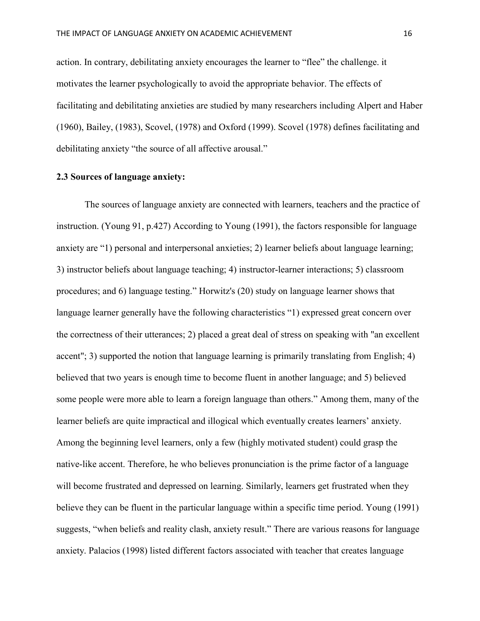action. In contrary, debilitating anxiety encourages the learner to "flee" the challenge. it motivates the learner psychologically to avoid the appropriate behavior. The effects of facilitating and debilitating anxieties are studied by many researchers including Alpert and Haber (1960), Bailey, (1983), Scovel, (1978) and Oxford (1999). Scovel (1978) defines facilitating and debilitating anxiety "the source of all affective arousal."

### **2.3 Sources of language anxiety:**

The sources of language anxiety are connected with learners, teachers and the practice of instruction. (Young 91, p.427) According to Young (1991), the factors responsible for language anxiety are "1) personal and interpersonal anxieties; 2) learner beliefs about language learning; 3) instructor beliefs about language teaching; 4) instructor-learner interactions; 5) classroom procedures; and 6) language testing." Horwitz's (20) study on language learner shows that language learner generally have the following characteristics "1) expressed great concern over the correctness of their utterances; 2) placed a great deal of stress on speaking with "an excellent accent"; 3) supported the notion that language learning is primarily translating from English; 4) believed that two years is enough time to become fluent in another language; and 5) believed some people were more able to learn a foreign language than others." Among them, many of the learner beliefs are quite impractical and illogical which eventually creates learners' anxiety. Among the beginning level learners, only a few (highly motivated student) could grasp the native-like accent. Therefore, he who believes pronunciation is the prime factor of a language will become frustrated and depressed on learning. Similarly, learners get frustrated when they believe they can be fluent in the particular language within a specific time period. Young (1991) suggests, "when beliefs and reality clash, anxiety result." There are various reasons for language anxiety. Palacios (1998) listed different factors associated with teacher that creates language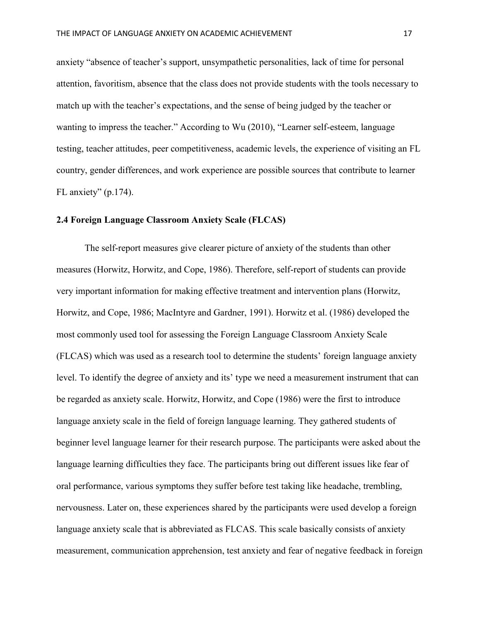anxiety "absence of teacher's support, unsympathetic personalities, lack of time for personal attention, favoritism, absence that the class does not provide students with the tools necessary to match up with the teacher's expectations, and the sense of being judged by the teacher or wanting to impress the teacher." According to Wu (2010), "Learner self-esteem, language testing, teacher attitudes, peer competitiveness, academic levels, the experience of visiting an FL country, gender differences, and work experience are possible sources that contribute to learner FL anxiety" (p.174).

### **2.4 Foreign Language Classroom Anxiety Scale (FLCAS)**

The self-report measures give clearer picture of anxiety of the students than other measures (Horwitz, Horwitz, and Cope, 1986). Therefore, self-report of students can provide very important information for making effective treatment and intervention plans (Horwitz, Horwitz, and Cope, 1986; MacIntyre and Gardner, 1991). Horwitz et al. (1986) developed the most commonly used tool for assessing the Foreign Language Classroom Anxiety Scale (FLCAS) which was used as a research tool to determine the students' foreign language anxiety level. To identify the degree of anxiety and its' type we need a measurement instrument that can be regarded as anxiety scale. Horwitz, Horwitz, and Cope (1986) were the first to introduce language anxiety scale in the field of foreign language learning. They gathered students of beginner level language learner for their research purpose. The participants were asked about the language learning difficulties they face. The participants bring out different issues like fear of oral performance, various symptoms they suffer before test taking like headache, trembling, nervousness. Later on, these experiences shared by the participants were used develop a foreign language anxiety scale that is abbreviated as FLCAS. This scale basically consists of anxiety measurement, communication apprehension, test anxiety and fear of negative feedback in foreign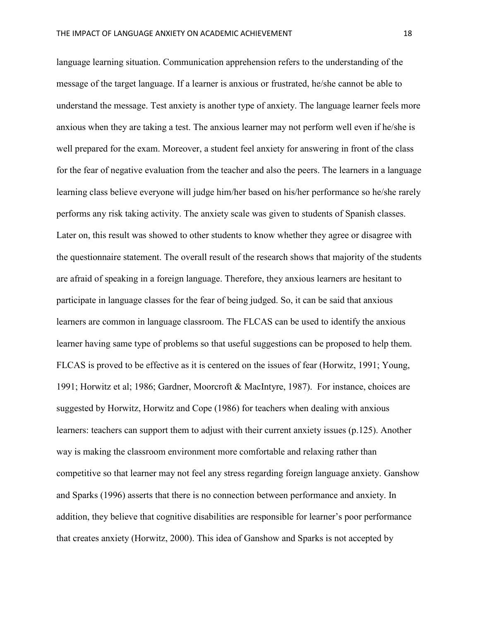language learning situation. Communication apprehension refers to the understanding of the message of the target language. If a learner is anxious or frustrated, he/she cannot be able to understand the message. Test anxiety is another type of anxiety. The language learner feels more anxious when they are taking a test. The anxious learner may not perform well even if he/she is well prepared for the exam. Moreover, a student feel anxiety for answering in front of the class for the fear of negative evaluation from the teacher and also the peers. The learners in a language learning class believe everyone will judge him/her based on his/her performance so he/she rarely performs any risk taking activity. The anxiety scale was given to students of Spanish classes. Later on, this result was showed to other students to know whether they agree or disagree with the questionnaire statement. The overall result of the research shows that majority of the students are afraid of speaking in a foreign language. Therefore, they anxious learners are hesitant to participate in language classes for the fear of being judged. So, it can be said that anxious learners are common in language classroom. The FLCAS can be used to identify the anxious learner having same type of problems so that useful suggestions can be proposed to help them. FLCAS is proved to be effective as it is centered on the issues of fear (Horwitz, 1991; Young, 1991; Horwitz et al; 1986; Gardner, Moorcroft & MacIntyre, 1987). For instance, choices are suggested by Horwitz, Horwitz and Cope (1986) for teachers when dealing with anxious learners: teachers can support them to adjust with their current anxiety issues (p.125). Another way is making the classroom environment more comfortable and relaxing rather than competitive so that learner may not feel any stress regarding foreign language anxiety. Ganshow and Sparks (1996) asserts that there is no connection between performance and anxiety. In addition, they believe that cognitive disabilities are responsible for learner's poor performance that creates anxiety (Horwitz, 2000). This idea of Ganshow and Sparks is not accepted by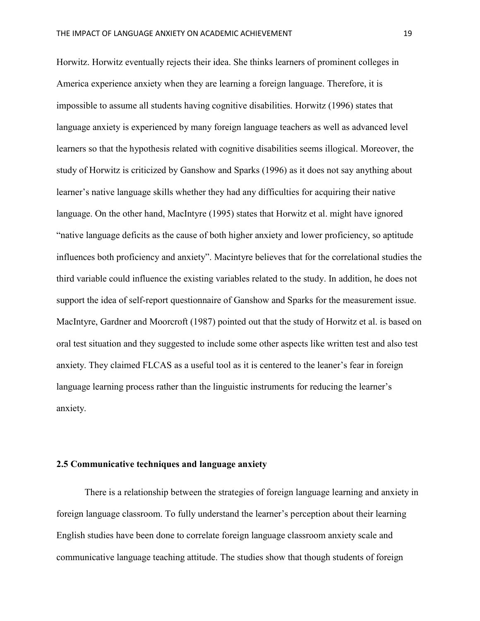Horwitz. Horwitz eventually rejects their idea. She thinks learners of prominent colleges in America experience anxiety when they are learning a foreign language. Therefore, it is impossible to assume all students having cognitive disabilities. Horwitz (1996) states that language anxiety is experienced by many foreign language teachers as well as advanced level learners so that the hypothesis related with cognitive disabilities seems illogical. Moreover, the study of Horwitz is criticized by Ganshow and Sparks (1996) as it does not say anything about learner's native language skills whether they had any difficulties for acquiring their native language. On the other hand, MacIntyre (1995) states that Horwitz et al. might have ignored "native language deficits as the cause of both higher anxiety and lower proficiency, so aptitude influences both proficiency and anxiety". Macintyre believes that for the correlational studies the third variable could influence the existing variables related to the study. In addition, he does not support the idea of self-report questionnaire of Ganshow and Sparks for the measurement issue. MacIntyre, Gardner and Moorcroft (1987) pointed out that the study of Horwitz et al. is based on oral test situation and they suggested to include some other aspects like written test and also test anxiety. They claimed FLCAS as a useful tool as it is centered to the leaner's fear in foreign language learning process rather than the linguistic instruments for reducing the learner's anxiety.

### **2.5 Communicative techniques and language anxiety**

There is a relationship between the strategies of foreign language learning and anxiety in foreign language classroom. To fully understand the learner's perception about their learning English studies have been done to correlate foreign language classroom anxiety scale and communicative language teaching attitude. The studies show that though students of foreign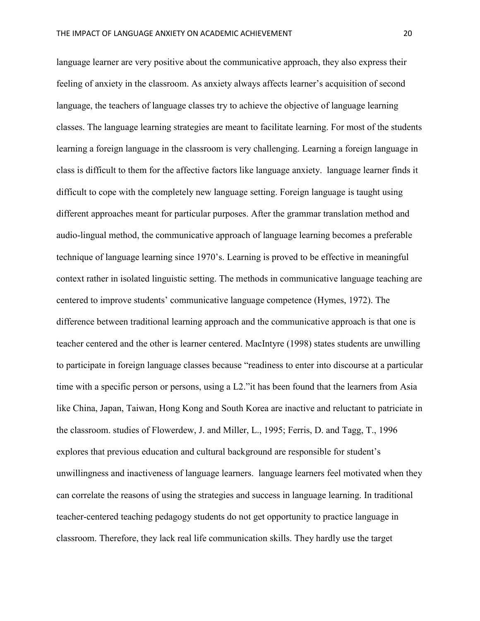language learner are very positive about the communicative approach, they also express their feeling of anxiety in the classroom. As anxiety always affects learner's acquisition of second language, the teachers of language classes try to achieve the objective of language learning classes. The language learning strategies are meant to facilitate learning. For most of the students learning a foreign language in the classroom is very challenging. Learning a foreign language in class is difficult to them for the affective factors like language anxiety. language learner finds it difficult to cope with the completely new language setting. Foreign language is taught using different approaches meant for particular purposes. After the grammar translation method and audio-lingual method, the communicative approach of language learning becomes a preferable technique of language learning since 1970's. Learning is proved to be effective in meaningful context rather in isolated linguistic setting. The methods in communicative language teaching are centered to improve students' communicative language competence (Hymes, 1972). The difference between traditional learning approach and the communicative approach is that one is teacher centered and the other is learner centered. MacIntyre (1998) states students are unwilling to participate in foreign language classes because "readiness to enter into discourse at a particular time with a specific person or persons, using a L2."it has been found that the learners from Asia like China, Japan, Taiwan, Hong Kong and South Korea are inactive and reluctant to patriciate in the classroom. studies of Flowerdew, J. and Miller, L., 1995; Ferris, D. and Tagg, T., 1996 explores that previous education and cultural background are responsible for student's unwillingness and inactiveness of language learners. language learners feel motivated when they can correlate the reasons of using the strategies and success in language learning. In traditional teacher-centered teaching pedagogy students do not get opportunity to practice language in classroom. Therefore, they lack real life communication skills. They hardly use the target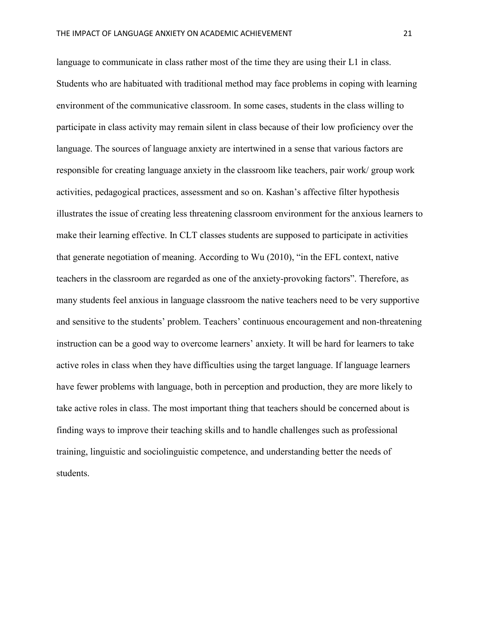language to communicate in class rather most of the time they are using their L1 in class. Students who are habituated with traditional method may face problems in coping with learning environment of the communicative classroom. In some cases, students in the class willing to participate in class activity may remain silent in class because of their low proficiency over the language. The sources of language anxiety are intertwined in a sense that various factors are responsible for creating language anxiety in the classroom like teachers, pair work/ group work activities, pedagogical practices, assessment and so on. Kashan's affective filter hypothesis illustrates the issue of creating less threatening classroom environment for the anxious learners to make their learning effective. In CLT classes students are supposed to participate in activities that generate negotiation of meaning. According to Wu (2010), "in the EFL context, native teachers in the classroom are regarded as one of the anxiety-provoking factors". Therefore, as many students feel anxious in language classroom the native teachers need to be very supportive and sensitive to the students' problem. Teachers' continuous encouragement and non-threatening instruction can be a good way to overcome learners' anxiety. It will be hard for learners to take active roles in class when they have difficulties using the target language. If language learners have fewer problems with language, both in perception and production, they are more likely to take active roles in class. The most important thing that teachers should be concerned about is finding ways to improve their teaching skills and to handle challenges such as professional training, linguistic and sociolinguistic competence, and understanding better the needs of students.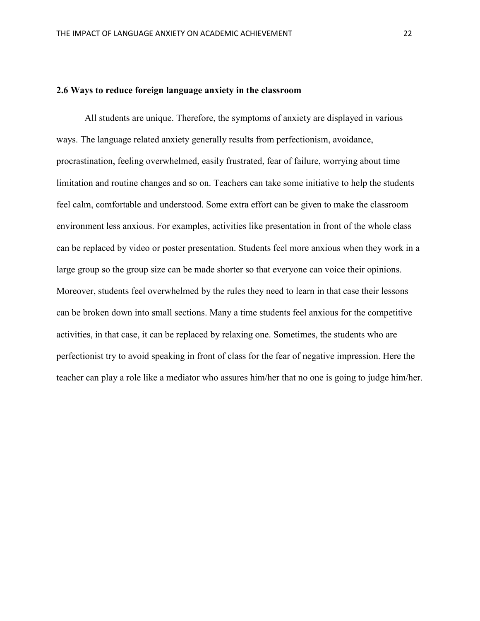### **2.6 Ways to reduce foreign language anxiety in the classroom**

All students are unique. Therefore, the symptoms of anxiety are displayed in various ways. The language related anxiety generally results from perfectionism, avoidance, procrastination, feeling overwhelmed, easily frustrated, fear of failure, worrying about time limitation and routine changes and so on. Teachers can take some initiative to help the students feel calm, comfortable and understood. Some extra effort can be given to make the classroom environment less anxious. For examples, activities like presentation in front of the whole class can be replaced by video or poster presentation. Students feel more anxious when they work in a large group so the group size can be made shorter so that everyone can voice their opinions. Moreover, students feel overwhelmed by the rules they need to learn in that case their lessons can be broken down into small sections. Many a time students feel anxious for the competitive activities, in that case, it can be replaced by relaxing one. Sometimes, the students who are perfectionist try to avoid speaking in front of class for the fear of negative impression. Here the teacher can play a role like a mediator who assures him/her that no one is going to judge him/her.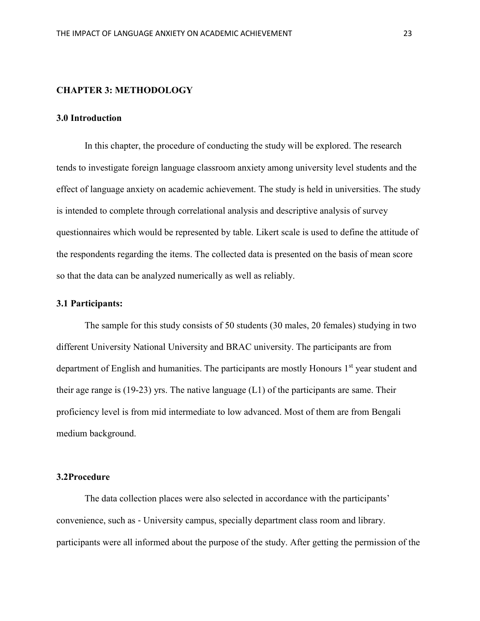### **CHAPTER 3: METHODOLOGY**

### **3.0 Introduction**

In this chapter, the procedure of conducting the study will be explored. The research tends to investigate foreign language classroom anxiety among university level students and the effect of language anxiety on academic achievement. The study is held in universities. The study is intended to complete through correlational analysis and descriptive analysis of survey questionnaires which would be represented by table. Likert scale is used to define the attitude of the respondents regarding the items. The collected data is presented on the basis of mean score so that the data can be analyzed numerically as well as reliably.

### **3.1 Participants:**

The sample for this study consists of 50 students (30 males, 20 females) studying in two different University National University and BRAC university. The participants are from department of English and humanities. The participants are mostly Honours 1<sup>st</sup> year student and their age range is (19-23) yrs. The native language (L1) of the participants are same. Their proficiency level is from mid intermediate to low advanced. Most of them are from Bengali medium background.

### **3.2Procedure**

The data collection places were also selected in accordance with the participants' convenience, such as ‐ University campus, specially department class room and library. participants were all informed about the purpose of the study. After getting the permission of the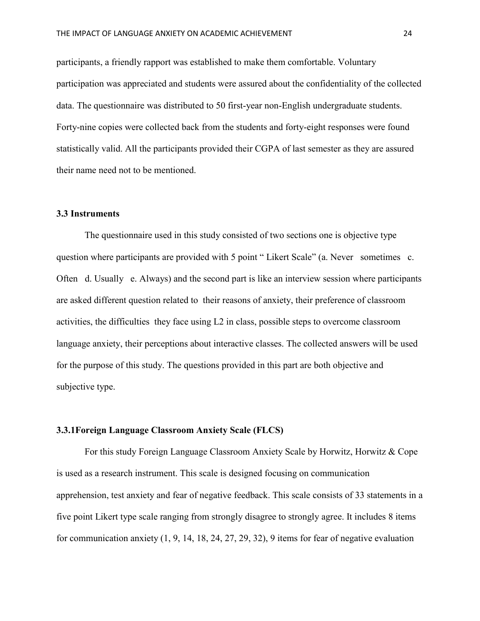participants, a friendly rapport was established to make them comfortable. Voluntary participation was appreciated and students were assured about the confidentiality of the collected data. The questionnaire was distributed to 50 first-year non-English undergraduate students. Forty-nine copies were collected back from the students and forty-eight responses were found statistically valid. All the participants provided their CGPA of last semester as they are assured their name need not to be mentioned.

### **3.3 Instruments**

The questionnaire used in this study consisted of two sections one is objective type question where participants are provided with 5 point "Likert Scale" (a. Never sometimes c. Often d. Usually e. Always) and the second part is like an interview session where participants are asked different question related to their reasons of anxiety, their preference of classroom activities, the difficulties they face using L2 in class, possible steps to overcome classroom language anxiety, their perceptions about interactive classes. The collected answers will be used for the purpose of this study. The questions provided in this part are both objective and subjective type.

### **3.3.1Foreign Language Classroom Anxiety Scale (FLCS)**

For this study Foreign Language Classroom Anxiety Scale by Horwitz, Horwitz & Cope is used as a research instrument. This scale is designed focusing on communication apprehension, test anxiety and fear of negative feedback. This scale consists of 33 statements in a five point Likert type scale ranging from strongly disagree to strongly agree. It includes 8 items for communication anxiety (1, 9, 14, 18, 24, 27, 29, 32), 9 items for fear of negative evaluation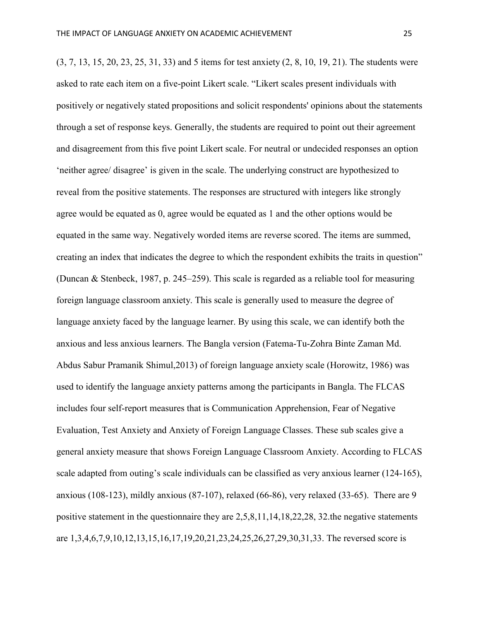(3, 7, 13, 15, 20, 23, 25, 31, 33) and 5 items for test anxiety (2, 8, 10, 19, 21). The students were asked to rate each item on a five-point Likert scale. "Likert scales present individuals with positively or negatively stated propositions and solicit respondents' opinions about the statements through a set of response keys. Generally, the students are required to point out their agreement and disagreement from this five point Likert scale. For neutral or undecided responses an option 'neither agree/ disagree' is given in the scale. The underlying construct are hypothesized to reveal from the positive statements. The responses are structured with integers like strongly agree would be equated as 0, agree would be equated as 1 and the other options would be equated in the same way. Negatively worded items are reverse scored. The items are summed, creating an index that indicates the degree to which the respondent exhibits the traits in question" (Duncan & Stenbeck, 1987, p. 245–259). This scale is regarded as a reliable tool for measuring foreign language classroom anxiety. This scale is generally used to measure the degree of language anxiety faced by the language learner. By using this scale, we can identify both the anxious and less anxious learners. The Bangla version (Fatema-Tu-Zohra Binte Zaman Md. Abdus Sabur Pramanik Shimul,2013) of foreign language anxiety scale (Horowitz, 1986) was used to identify the language anxiety patterns among the participants in Bangla. The FLCAS includes four self-report measures that is Communication Apprehension, Fear of Negative Evaluation, Test Anxiety and Anxiety of Foreign Language Classes. These sub scales give a general anxiety measure that shows Foreign Language Classroom Anxiety. According to FLCAS scale adapted from outing's scale individuals can be classified as very anxious learner (124-165), anxious (108-123), mildly anxious (87-107), relaxed (66-86), very relaxed (33-65). There are 9 positive statement in the questionnaire they are 2,5,8,11,14,18,22,28, 32.the negative statements

are 1,3,4,6,7,9,10,12,13,15,16,17,19,20,21,23,24,25,26,27,29,30,31,33. The reversed score is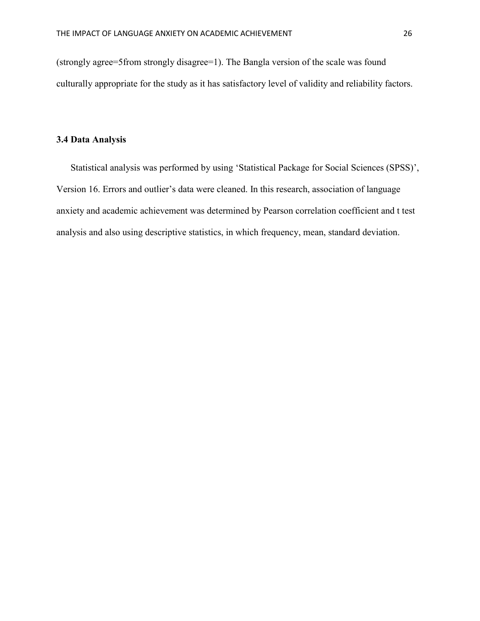(strongly agree=5from strongly disagree=1). The Bangla version of the scale was found culturally appropriate for the study as it has satisfactory level of validity and reliability factors.

### **3.4 Data Analysis**

Statistical analysis was performed by using 'Statistical Package for Social Sciences (SPSS)', Version 16. Errors and outlier's data were cleaned. In this research, association of language anxiety and academic achievement was determined by Pearson correlation coefficient and t test analysis and also using descriptive statistics, in which frequency, mean, standard deviation.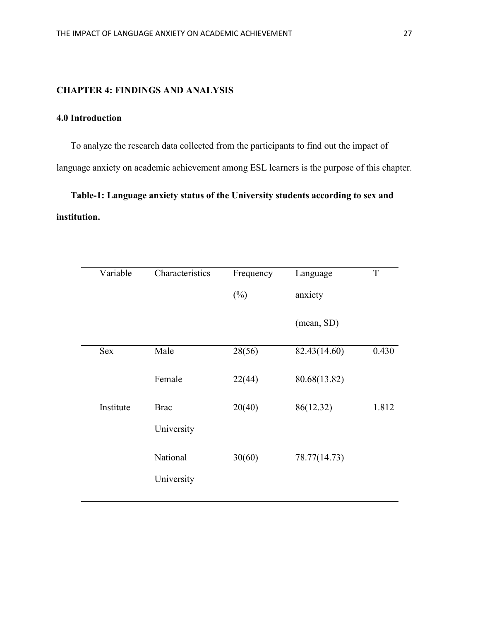### **CHAPTER 4: FINDINGS AND ANALYSIS**

## **4.0 Introduction**

To analyze the research data collected from the participants to find out the impact of language anxiety on academic achievement among ESL learners is the purpose of this chapter.

**Table-1: Language anxiety status of the University students according to sex and institution.**

| Variable  | Characteristics | Frequency | Language     | $\mathbf T$ |
|-----------|-----------------|-----------|--------------|-------------|
|           |                 | $(\%)$    | anxiety      |             |
|           |                 |           | (mean, SD)   |             |
| Sex       | Male            | 28(56)    | 82.43(14.60) | 0.430       |
|           | Female          | 22(44)    | 80.68(13.82) |             |
| Institute | <b>Brac</b>     | 20(40)    | 86(12.32)    | 1.812       |
|           | University      |           |              |             |
|           | National        | 30(60)    | 78.77(14.73) |             |
|           | University      |           |              |             |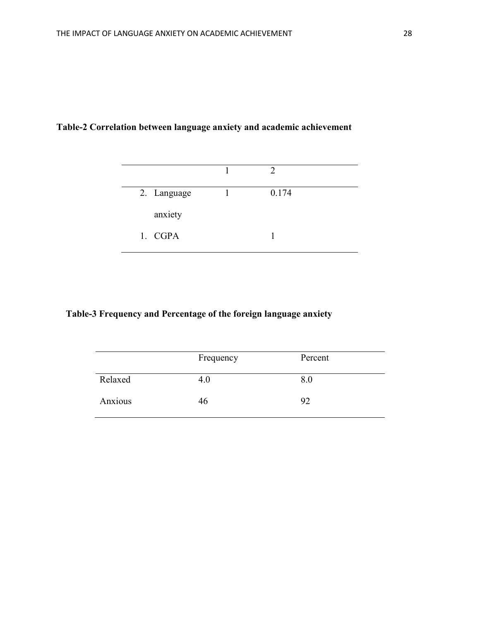# **Table-2 Correlation between language anxiety and academic achievement**

| 2. Language | 0.174 |  |
|-------------|-------|--|
| anxiety     |       |  |
| 1. CGPA     |       |  |

# **Table-3 Frequency and Percentage of the foreign language anxiety**

|         | Frequency | Percent |
|---------|-----------|---------|
| Relaxed | 4.0       | 8.0     |
| Anxious | 46        | 92      |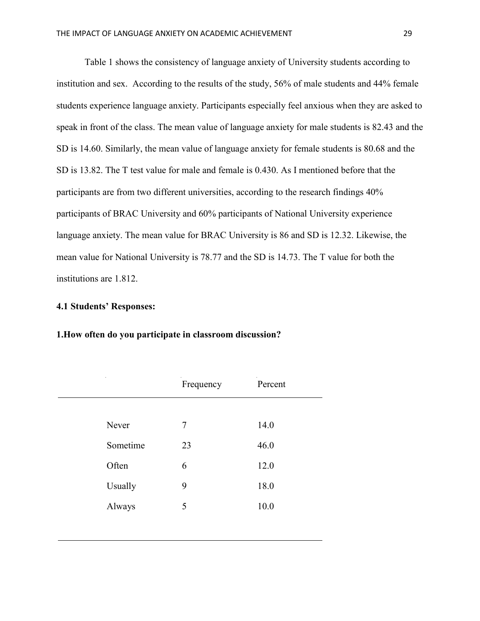Table 1 shows the consistency of language anxiety of University students according to institution and sex. According to the results of the study, 56% of male students and 44% female students experience language anxiety. Participants especially feel anxious when they are asked to speak in front of the class. The mean value of language anxiety for male students is 82.43 and the SD is 14.60. Similarly, the mean value of language anxiety for female students is 80.68 and the SD is 13.82. The T test value for male and female is 0.430. As I mentioned before that the participants are from two different universities, according to the research findings 40% participants of BRAC University and 60% participants of National University experience language anxiety. The mean value for BRAC University is 86 and SD is 12.32. Likewise, the mean value for National University is 78.77 and the SD is 14.73. The T value for both the institutions are 1.812.

### **4.1 Students' Responses:**

## **1.How often do you participate in classroom discussion?**

|          | Frequency | Percent |
|----------|-----------|---------|
|          |           |         |
| Never    | 7         | 14.0    |
| Sometime | 23        | 46.0    |
| Often    | 6         | 12.0    |
| Usually  | 9         | 18.0    |
| Always   | 5         | 10.0    |
|          |           |         |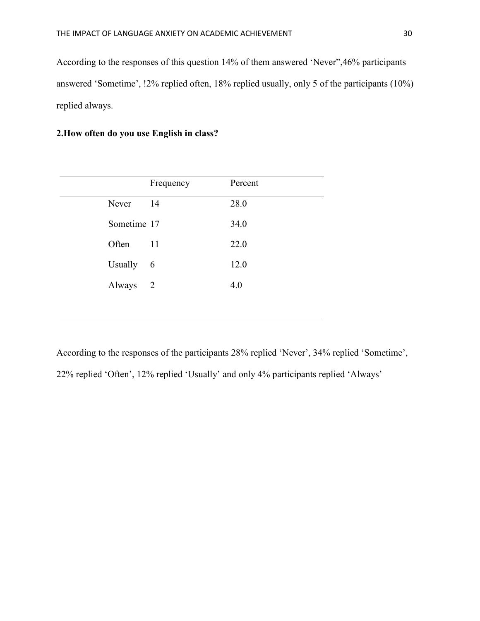According to the responses of this question 14% of them answered 'Never",46% participants answered 'Sometime', !2% replied often, 18% replied usually, only 5 of the participants (10%) replied always.

## **2.How often do you use English in class?**

|             | Frequency | Percent |
|-------------|-----------|---------|
| Never       | 14        | 28.0    |
| Sometime 17 |           | 34.0    |
| Often       | 11        | 22.0    |
| Usually     | 6         | 12.0    |
| Always      | 2         | 4.0     |
|             |           |         |

According to the responses of the participants 28% replied 'Never', 34% replied 'Sometime', 22% replied 'Often', 12% replied 'Usually' and only 4% participants replied 'Always'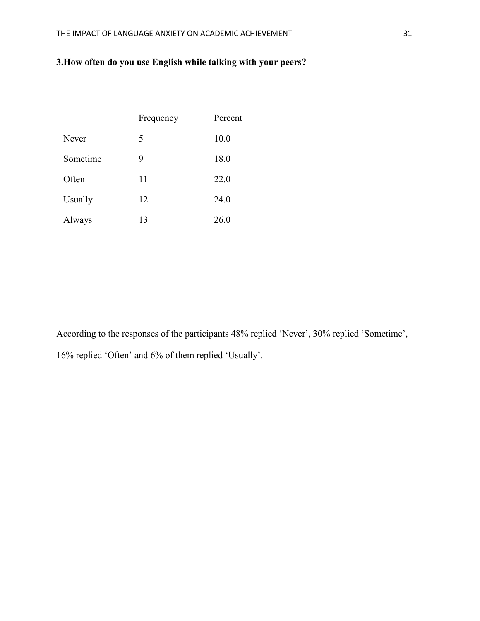# **3.How often do you use English while talking with your peers?**

|          | Frequency | Percent |  |
|----------|-----------|---------|--|
| Never    | 5         | 10.0    |  |
| Sometime | 9         | 18.0    |  |
| Often    | 11        | 22.0    |  |
| Usually  | 12        | 24.0    |  |
| Always   | 13        | 26.0    |  |
|          |           |         |  |

According to the responses of the participants 48% replied 'Never', 30% replied 'Sometime', 16% replied 'Often' and 6% of them replied 'Usually'.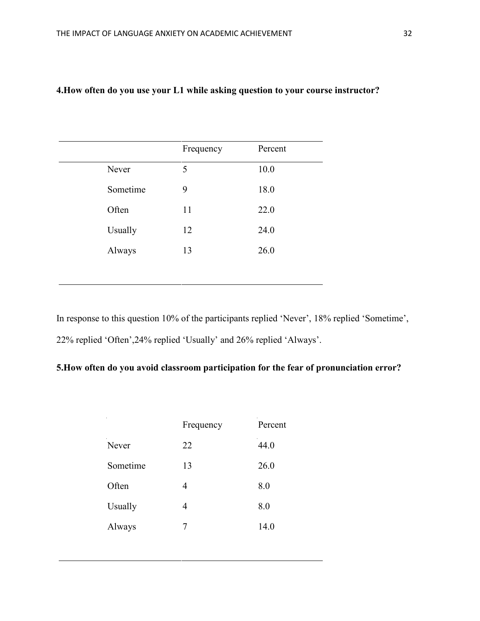|          | Frequency | Percent |
|----------|-----------|---------|
| Never    | 5         | 10.0    |
| Sometime | 9         | 18.0    |
| Often    | 11        | 22.0    |
| Usually  | 12        | 24.0    |
| Always   | 13        | 26.0    |

# **4.How often do you use your L1 while asking question to your course instructor?**

In response to this question 10% of the participants replied 'Never', 18% replied 'Sometime', 22% replied 'Often',24% replied 'Usually' and 26% replied 'Always'.

# **5.How often do you avoid classroom participation for the fear of pronunciation error?**

| Frequency | Percent |
|-----------|---------|
| 22        | 44.0    |
| 13        | 26.0    |
| 4         | 8.0     |
| 4         | 8.0     |
| 7         | 14.0    |
|           |         |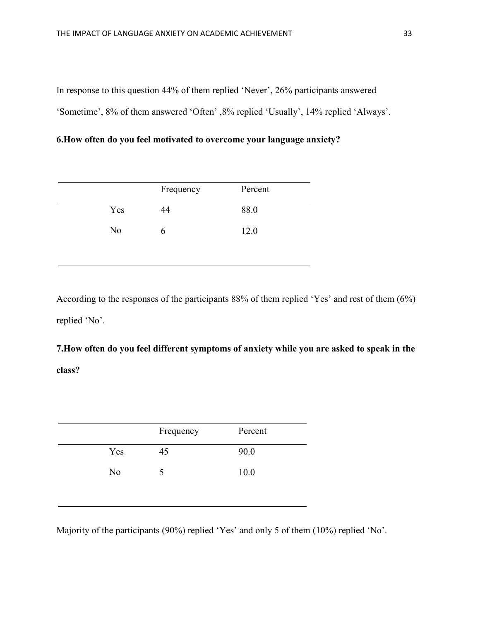In response to this question 44% of them replied 'Never', 26% participants answered

'Sometime', 8% of them answered 'Often' ,8% replied 'Usually', 14% replied 'Always'.

# **6.How often do you feel motivated to overcome your language anxiety?**

|     | Frequency | Percent |
|-----|-----------|---------|
| Yes | 44        | 88.0    |
| No  | h         | 12.0    |

According to the responses of the participants 88% of them replied 'Yes' and rest of them (6%) replied 'No'.

**7.How often do you feel different symptoms of anxiety while you are asked to speak in the class?**

|     | Frequency | Percent |  |
|-----|-----------|---------|--|
| Yes | 45        | 90.0    |  |
| No  | C         | 10.0    |  |
|     |           |         |  |

Majority of the participants (90%) replied 'Yes' and only 5 of them (10%) replied 'No'.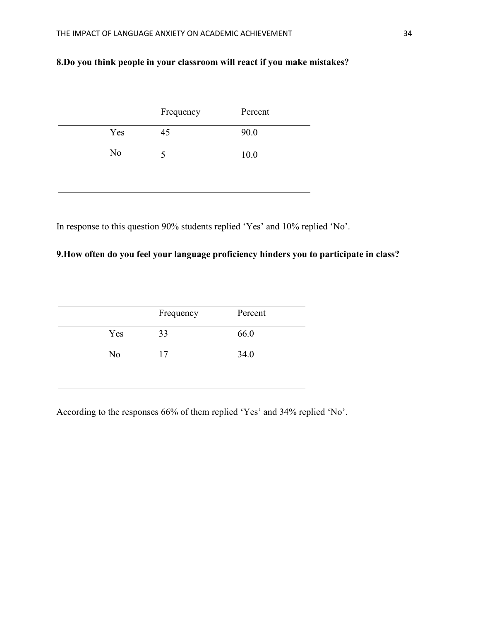# **8.Do you think people in your classroom will react if you make mistakes?**

|     | Frequency | Percent |
|-----|-----------|---------|
| Yes | 45        | 90.0    |
| No  | 5         | 10.0    |

In response to this question 90% students replied 'Yes' and 10% replied 'No'.

# **9.How often do you feel your language proficiency hinders you to participate in class?**

|                | Frequency | Percent |  |
|----------------|-----------|---------|--|
| Yes            | 33        | 66.0    |  |
| N <sub>o</sub> | 17        | 34.0    |  |
|                |           |         |  |

According to the responses 66% of them replied 'Yes' and 34% replied 'No'.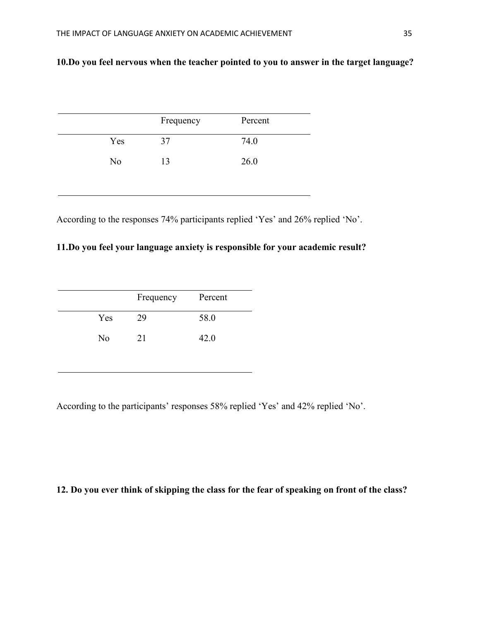# **10.Do you feel nervous when the teacher pointed to you to answer in the target language?**

|                | Frequency | Percent |
|----------------|-----------|---------|
| Yes            | 37        | 74.0    |
| N <sub>0</sub> | 13        | 26.0    |

According to the responses 74% participants replied 'Yes' and 26% replied 'No'.

# **11.Do you feel your language anxiety is responsible for your academic result?**

|     | Frequency | Percent |
|-----|-----------|---------|
| Yes | 29        | 58.0    |
| No  | 21        | 42.0    |

According to the participants' responses 58% replied 'Yes' and 42% replied 'No'.

## **12. Do you ever think of skipping the class for the fear of speaking on front of the class?**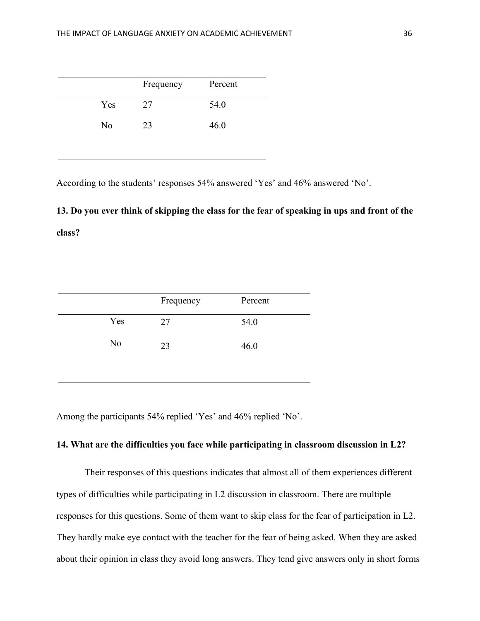|     | Frequency | Percent |
|-----|-----------|---------|
| Yes | 27        | 54.0    |
| No  | 23        | 46.0    |

According to the students' responses 54% answered 'Yes' and 46% answered 'No'.

# **13. Do you ever think of skipping the class for the fear of speaking in ups and front of the class?**

|     | Frequency | Percent |
|-----|-----------|---------|
| Yes | 27        | 54.0    |
| No  | 23        | 46.0    |

Among the participants 54% replied 'Yes' and 46% replied 'No'.

## **14. What are the difficulties you face while participating in classroom discussion in L2?**

Their responses of this questions indicates that almost all of them experiences different types of difficulties while participating in L2 discussion in classroom. There are multiple responses for this questions. Some of them want to skip class for the fear of participation in L2. They hardly make eye contact with the teacher for the fear of being asked. When they are asked about their opinion in class they avoid long answers. They tend give answers only in short forms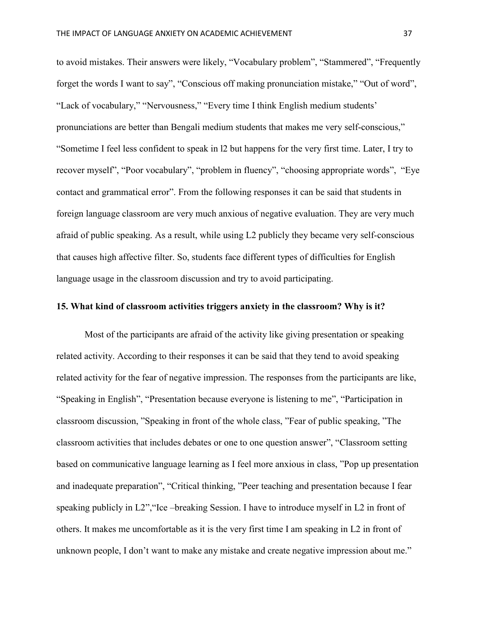to avoid mistakes. Their answers were likely, "Vocabulary problem", "Stammered", "Frequently forget the words I want to say", "Conscious off making pronunciation mistake," "Out of word", "Lack of vocabulary," "Nervousness," "Every time I think English medium students' pronunciations are better than Bengali medium students that makes me very self-conscious," "Sometime I feel less confident to speak in l2 but happens for the very first time. Later, I try to recover myself", "Poor vocabulary", "problem in fluency", "choosing appropriate words", "Eye contact and grammatical error". From the following responses it can be said that students in foreign language classroom are very much anxious of negative evaluation. They are very much afraid of public speaking. As a result, while using L2 publicly they became very self-conscious that causes high affective filter. So, students face different types of difficulties for English language usage in the classroom discussion and try to avoid participating.

### **15. What kind of classroom activities triggers anxiety in the classroom? Why is it?**

Most of the participants are afraid of the activity like giving presentation or speaking related activity. According to their responses it can be said that they tend to avoid speaking related activity for the fear of negative impression. The responses from the participants are like, "Speaking in English", "Presentation because everyone is listening to me", "Participation in classroom discussion, "Speaking in front of the whole class, "Fear of public speaking, "The classroom activities that includes debates or one to one question answer", "Classroom setting based on communicative language learning as I feel more anxious in class, "Pop up presentation and inadequate preparation", "Critical thinking, "Peer teaching and presentation because I fear speaking publicly in L2","Ice –breaking Session. I have to introduce myself in L2 in front of others. It makes me uncomfortable as it is the very first time I am speaking in L2 in front of unknown people, I don't want to make any mistake and create negative impression about me."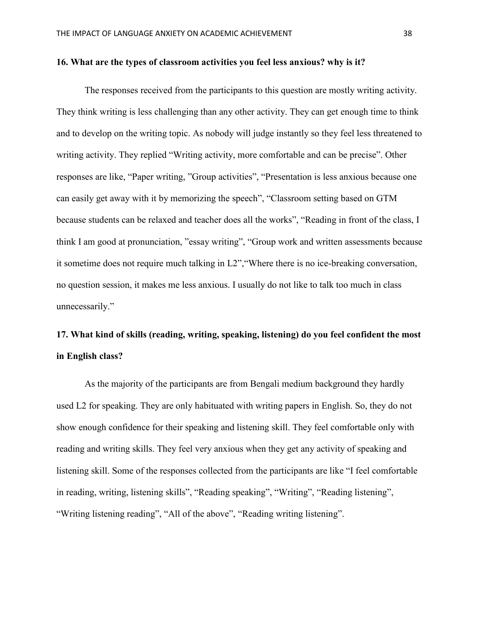### **16. What are the types of classroom activities you feel less anxious? why is it?**

The responses received from the participants to this question are mostly writing activity. They think writing is less challenging than any other activity. They can get enough time to think and to develop on the writing topic. As nobody will judge instantly so they feel less threatened to writing activity. They replied "Writing activity, more comfortable and can be precise". Other responses are like, "Paper writing, "Group activities", "Presentation is less anxious because one can easily get away with it by memorizing the speech", "Classroom setting based on GTM because students can be relaxed and teacher does all the works", "Reading in front of the class, I think I am good at pronunciation, "essay writing", "Group work and written assessments because it sometime does not require much talking in L2","Where there is no ice-breaking conversation, no question session, it makes me less anxious. I usually do not like to talk too much in class unnecessarily."

# **17. What kind of skills (reading, writing, speaking, listening) do you feel confident the most in English class?**

As the majority of the participants are from Bengali medium background they hardly used L2 for speaking. They are only habituated with writing papers in English. So, they do not show enough confidence for their speaking and listening skill. They feel comfortable only with reading and writing skills. They feel very anxious when they get any activity of speaking and listening skill. Some of the responses collected from the participants are like "I feel comfortable in reading, writing, listening skills", "Reading speaking", "Writing", "Reading listening", "Writing listening reading", "All of the above", "Reading writing listening".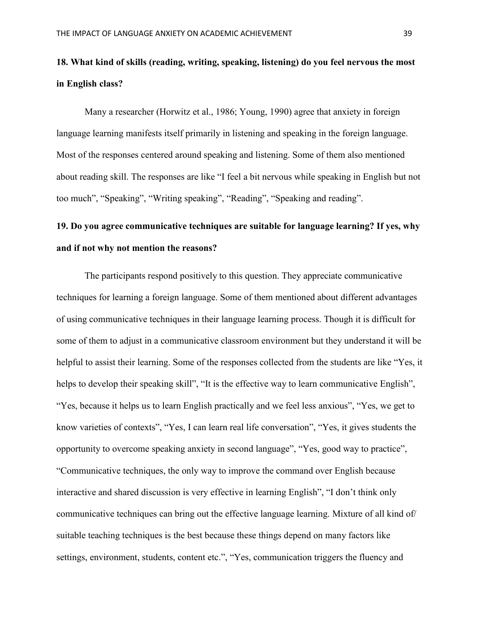# **18. What kind of skills (reading, writing, speaking, listening) do you feel nervous the most in English class?**

Many a researcher (Horwitz et al., 1986; Young, 1990) agree that anxiety in foreign language learning manifests itself primarily in listening and speaking in the foreign language. Most of the responses centered around speaking and listening. Some of them also mentioned about reading skill. The responses are like "I feel a bit nervous while speaking in English but not too much", "Speaking", "Writing speaking", "Reading", "Speaking and reading".

# **19. Do you agree communicative techniques are suitable for language learning? If yes, why and if not why not mention the reasons?**

The participants respond positively to this question. They appreciate communicative techniques for learning a foreign language. Some of them mentioned about different advantages of using communicative techniques in their language learning process. Though it is difficult for some of them to adjust in a communicative classroom environment but they understand it will be helpful to assist their learning. Some of the responses collected from the students are like "Yes, it helps to develop their speaking skill", "It is the effective way to learn communicative English", "Yes, because it helps us to learn English practically and we feel less anxious", "Yes, we get to know varieties of contexts", "Yes, I can learn real life conversation", "Yes, it gives students the opportunity to overcome speaking anxiety in second language", "Yes, good way to practice", "Communicative techniques, the only way to improve the command over English because interactive and shared discussion is very effective in learning English", "I don't think only communicative techniques can bring out the effective language learning. Mixture of all kind of/ suitable teaching techniques is the best because these things depend on many factors like settings, environment, students, content etc.", "Yes, communication triggers the fluency and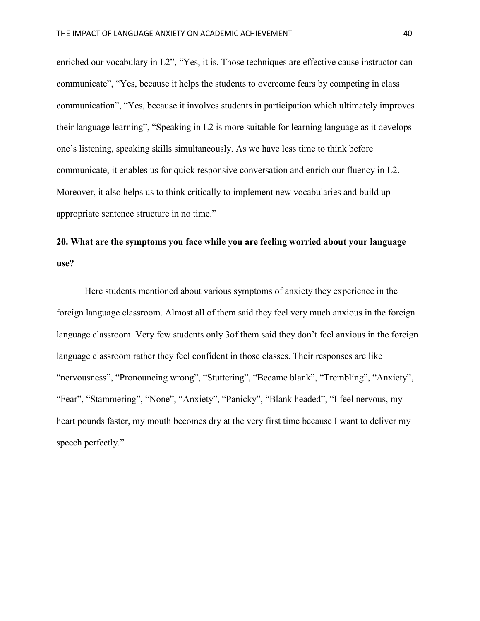enriched our vocabulary in L2", "Yes, it is. Those techniques are effective cause instructor can communicate", "Yes, because it helps the students to overcome fears by competing in class communication", "Yes, because it involves students in participation which ultimately improves their language learning", "Speaking in L2 is more suitable for learning language as it develops one's listening, speaking skills simultaneously. As we have less time to think before communicate, it enables us for quick responsive conversation and enrich our fluency in L2. Moreover, it also helps us to think critically to implement new vocabularies and build up appropriate sentence structure in no time."

# **20. What are the symptoms you face while you are feeling worried about your language use?**

Here students mentioned about various symptoms of anxiety they experience in the foreign language classroom. Almost all of them said they feel very much anxious in the foreign language classroom. Very few students only 3of them said they don't feel anxious in the foreign language classroom rather they feel confident in those classes. Their responses are like "nervousness", "Pronouncing wrong", "Stuttering", "Became blank", "Trembling", "Anxiety", "Fear", "Stammering", "None", "Anxiety", "Panicky", "Blank headed", "I feel nervous, my heart pounds faster, my mouth becomes dry at the very first time because I want to deliver my speech perfectly."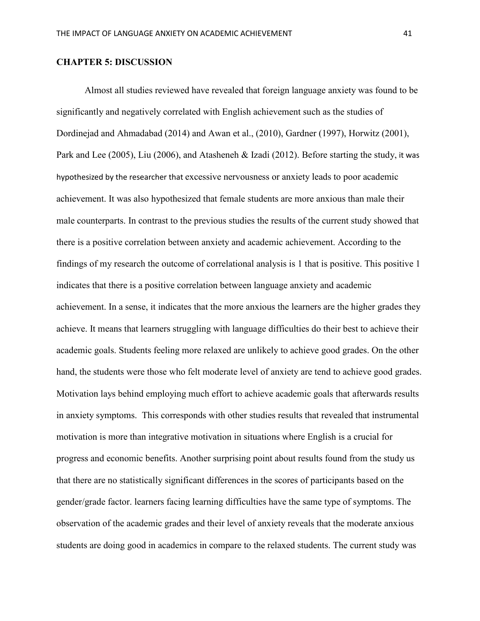### **CHAPTER 5: DISCUSSION**

Almost all studies reviewed have revealed that foreign language anxiety was found to be significantly and negatively correlated with English achievement such as the studies of Dordinejad and Ahmadabad (2014) and Awan et al., (2010), Gardner (1997), Horwitz (2001), Park and Lee (2005), Liu (2006), and Atasheneh & Izadi (2012). Before starting the study, it was hypothesized by the researcher that excessive nervousness or anxiety leads to poor academic achievement. It was also hypothesized that female students are more anxious than male their male counterparts. In contrast to the previous studies the results of the current study showed that there is a positive correlation between anxiety and academic achievement. According to the findings of my research the outcome of correlational analysis is 1 that is positive. This positive 1 indicates that there is a positive correlation between language anxiety and academic achievement. In a sense, it indicates that the more anxious the learners are the higher grades they achieve. It means that learners struggling with language difficulties do their best to achieve their academic goals. Students feeling more relaxed are unlikely to achieve good grades. On the other hand, the students were those who felt moderate level of anxiety are tend to achieve good grades. Motivation lays behind employing much effort to achieve academic goals that afterwards results in anxiety symptoms. This corresponds with other studies results that revealed that instrumental motivation is more than integrative motivation in situations where English is a crucial for progress and economic benefits. Another surprising point about results found from the study us that there are no statistically significant differences in the scores of participants based on the gender/grade factor. learners facing learning difficulties have the same type of symptoms. The observation of the academic grades and their level of anxiety reveals that the moderate anxious students are doing good in academics in compare to the relaxed students. The current study was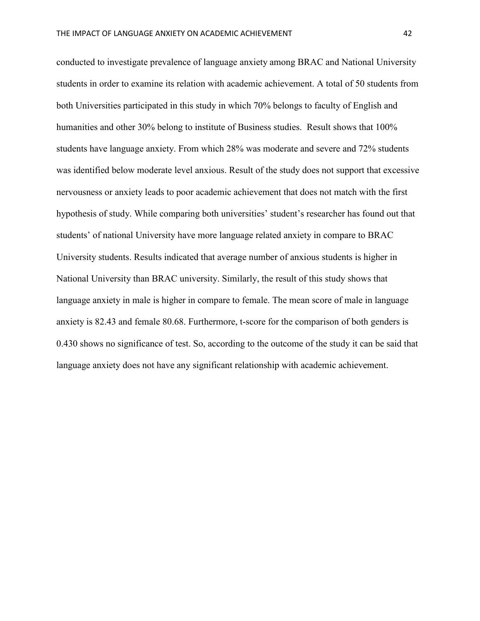conducted to investigate prevalence of language anxiety among BRAC and National University students in order to examine its relation with academic achievement. A total of 50 students from both Universities participated in this study in which 70% belongs to faculty of English and humanities and other 30% belong to institute of Business studies. Result shows that 100% students have language anxiety. From which 28% was moderate and severe and 72% students was identified below moderate level anxious. Result of the study does not support that excessive nervousness or anxiety leads to poor academic achievement that does not match with the first hypothesis of study. While comparing both universities' student's researcher has found out that students' of national University have more language related anxiety in compare to BRAC University students. Results indicated that average number of anxious students is higher in National University than BRAC university. Similarly, the result of this study shows that language anxiety in male is higher in compare to female. The mean score of male in language anxiety is 82.43 and female 80.68. Furthermore, t-score for the comparison of both genders is 0.430 shows no significance of test. So, according to the outcome of the study it can be said that language anxiety does not have any significant relationship with academic achievement.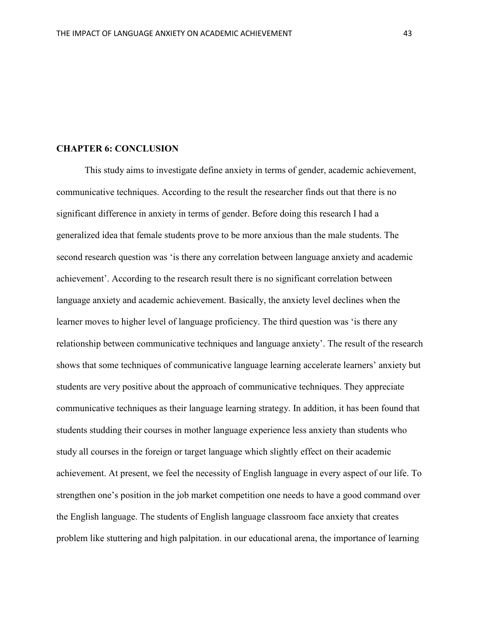#### **CHAPTER 6: CONCLUSION**

This study aims to investigate define anxiety in terms of gender, academic achievement, communicative techniques. According to the result the researcher finds out that there is no significant difference in anxiety in terms of gender. Before doing this research I had a generalized idea that female students prove to be more anxious than the male students. The second research question was 'is there any correlation between language anxiety and academic achievement'. According to the research result there is no significant correlation between language anxiety and academic achievement. Basically, the anxiety level declines when the learner moves to higher level of language proficiency. The third question was 'is there any relationship between communicative techniques and language anxiety'. The result of the research shows that some techniques of communicative language learning accelerate learners' anxiety but students are very positive about the approach of communicative techniques. They appreciate communicative techniques as their language learning strategy. In addition, it has been found that students studding their courses in mother language experience less anxiety than students who study all courses in the foreign or target language which slightly effect on their academic achievement. At present, we feel the necessity of English language in every aspect of our life. To strengthen one's position in the job market competition one needs to have a good command over the English language. The students of English language classroom face anxiety that creates problem like stuttering and high palpitation. in our educational arena, the importance of learning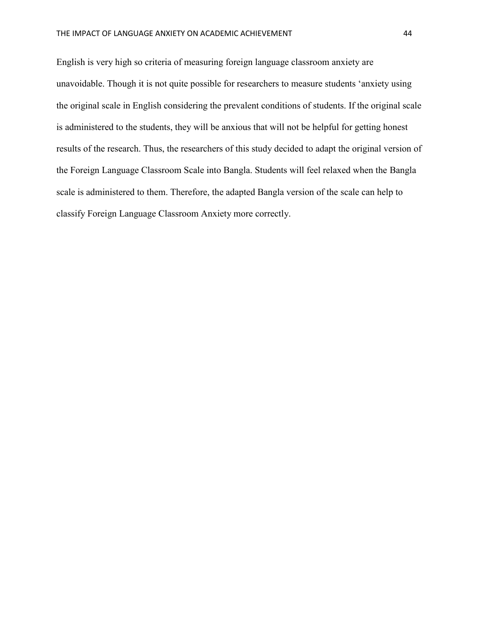English is very high so criteria of measuring foreign language classroom anxiety are unavoidable. Though it is not quite possible for researchers to measure students 'anxiety using the original scale in English considering the prevalent conditions of students. If the original scale is administered to the students, they will be anxious that will not be helpful for getting honest results of the research. Thus, the researchers of this study decided to adapt the original version of the Foreign Language Classroom Scale into Bangla. Students will feel relaxed when the Bangla scale is administered to them. Therefore, the adapted Bangla version of the scale can help to classify Foreign Language Classroom Anxiety more correctly.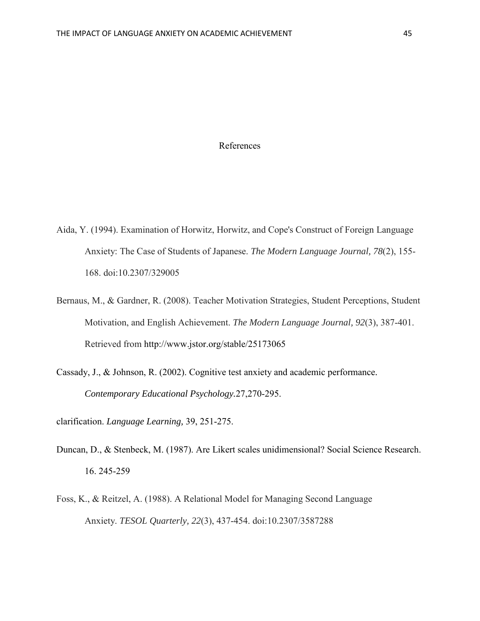### References

- Aida, Y. (1994). Examination of Horwitz, Horwitz, and Cope's Construct of Foreign Language Anxiety: The Case of Students of Japanese. *The Modern Language Journal, 78*(2), 155- 168. doi:10.2307/329005
- Bernaus, M., & Gardner, R. (2008). Teacher Motivation Strategies, Student Perceptions, Student Motivation, and English Achievement. *The Modern Language Journal, 92*(3), 387-401. Retrieved from http://www.jstor.org/stable/25173065
- Cassady, J., & Johnson, R. (2002). Cognitive test anxiety and academic performance*. Contemporary Educational Psychology.*27,270-295.

clarification. *Language Learning,* 39, 251-275.

- Duncan, D., & Stenbeck, M. (1987). Are Likert scales unidimensional? Social Science Research. 16. 245-259
- Foss, K., & Reitzel, A. (1988). A Relational Model for Managing Second Language Anxiety. *TESOL Quarterly, 22*(3), 437-454. doi:10.2307/3587288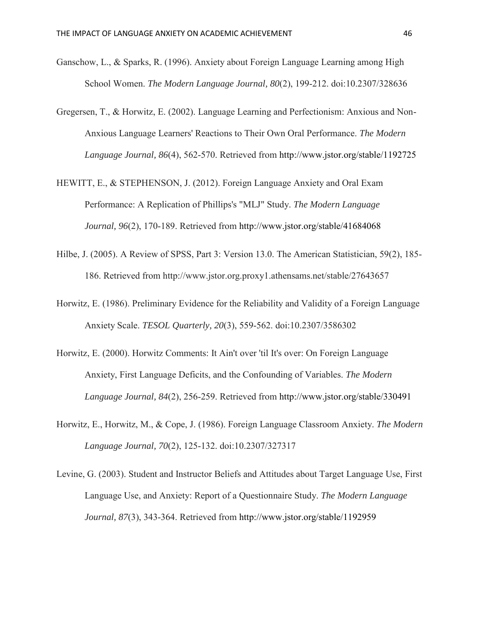- Ganschow, L., & Sparks, R. (1996). Anxiety about Foreign Language Learning among High School Women. *The Modern Language Journal, 80*(2), 199-212. doi:10.2307/328636
- Gregersen, T., & Horwitz, E. (2002). Language Learning and Perfectionism: Anxious and Non-Anxious Language Learners' Reactions to Their Own Oral Performance. *The Modern Language Journal, 86*(4), 562-570. Retrieved from http://www.jstor.org/stable/1192725
- HEWITT, E., & STEPHENSON, J. (2012). Foreign Language Anxiety and Oral Exam Performance: A Replication of Phillips's "MLJ" Study. *The Modern Language Journal, 96*(2), 170-189. Retrieved from http://www.jstor.org/stable/41684068
- Hilbe, J. (2005). A Review of SPSS, Part 3: Version 13.0. The American Statistician, 59(2), 185- 186. Retrieved from http://www.jstor.org.proxy1.athensams.net/stable/27643657
- Horwitz, E. (1986). Preliminary Evidence for the Reliability and Validity of a Foreign Language Anxiety Scale. *TESOL Quarterly, 20*(3), 559-562. doi:10.2307/3586302
- Horwitz, E. (2000). Horwitz Comments: It Ain't over 'til It's over: On Foreign Language Anxiety, First Language Deficits, and the Confounding of Variables. *The Modern Language Journal, 84*(2), 256-259. Retrieved from http://www.jstor.org/stable/330491
- Horwitz, E., Horwitz, M., & Cope, J. (1986). Foreign Language Classroom Anxiety. *The Modern Language Journal, 70*(2), 125-132. doi:10.2307/327317
- Levine, G. (2003). Student and Instructor Beliefs and Attitudes about Target Language Use, First Language Use, and Anxiety: Report of a Questionnaire Study. *The Modern Language Journal, 87*(3), 343-364. Retrieved from http://www.jstor.org/stable/1192959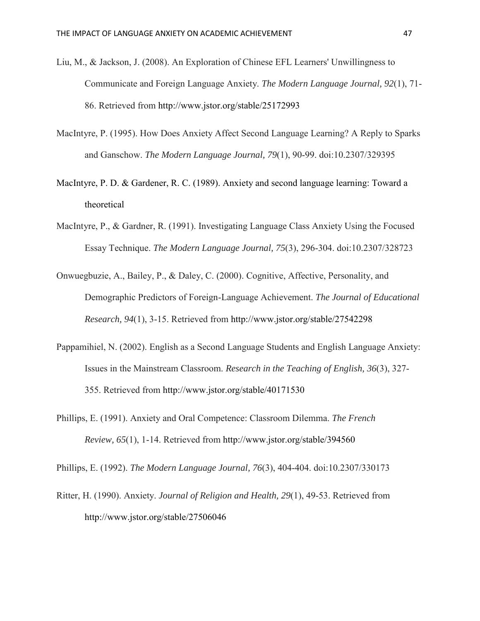- Liu, M., & Jackson, J. (2008). An Exploration of Chinese EFL Learners' Unwillingness to Communicate and Foreign Language Anxiety. *The Modern Language Journal, 92*(1), 71- 86. Retrieved from http://www.jstor.org/stable/25172993
- MacIntyre, P. (1995). How Does Anxiety Affect Second Language Learning? A Reply to Sparks and Ganschow. *The Modern Language Journal, 79*(1), 90-99. doi:10.2307/329395
- MacIntyre, P. D. & Gardener, R. C. (1989). Anxiety and second language learning: Toward a theoretical
- MacIntyre, P., & Gardner, R. (1991). Investigating Language Class Anxiety Using the Focused Essay Technique. *The Modern Language Journal, 75*(3), 296-304. doi:10.2307/328723
- Onwuegbuzie, A., Bailey, P., & Daley, C. (2000). Cognitive, Affective, Personality, and Demographic Predictors of Foreign-Language Achievement. *The Journal of Educational Research, 94*(1), 3-15. Retrieved from http://www.jstor.org/stable/27542298
- Pappamihiel, N. (2002). English as a Second Language Students and English Language Anxiety: Issues in the Mainstream Classroom. *Research in the Teaching of English, 36*(3), 327- 355. Retrieved from http://www.jstor.org/stable/40171530
- Phillips, E. (1991). Anxiety and Oral Competence: Classroom Dilemma. *The French Review, 65*(1), 1-14. Retrieved from http://www.jstor.org/stable/394560

Phillips, E. (1992). *The Modern Language Journal, 76*(3), 404-404. doi:10.2307/330173

Ritter, H. (1990). Anxiety. *Journal of Religion and Health, 29*(1), 49-53. Retrieved from http://www.jstor.org/stable/27506046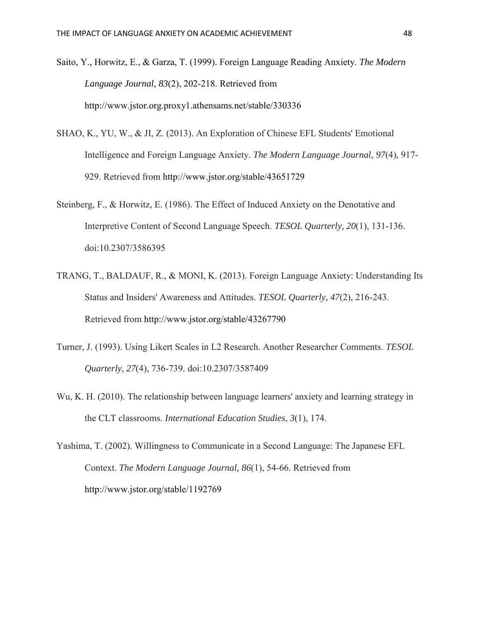- Saito, Y., Horwitz, E., & Garza, T. (1999). Foreign Language Reading Anxiety. *The Modern Language Journal, 83*(2), 202-218. Retrieved from http://www.jstor.org.proxy1.athensams.net/stable/330336
- SHAO, K., YU, W., & JI, Z. (2013). An Exploration of Chinese EFL Students' Emotional Intelligence and Foreign Language Anxiety. *The Modern Language Journal, 97*(4), 917- 929. Retrieved from http://www.jstor.org/stable/43651729
- Steinberg, F., & Horwitz, E. (1986). The Effect of Induced Anxiety on the Denotative and Interpretive Content of Second Language Speech. *TESOL Quarterly, 20*(1), 131-136. doi:10.2307/3586395
- TRANG, T., BALDAUF, R., & MONI, K. (2013). Foreign Language Anxiety: Understanding Its Status and Insiders' Awareness and Attitudes. *TESOL Quarterly, 47*(2), 216-243. Retrieved from http://www.jstor.org/stable/43267790
- Turner, J. (1993). Using Likert Scales in L2 Research. Another Researcher Comments. *TESOL Quarterly, 27*(4), 736-739. doi:10.2307/3587409
- Wu, K. H. (2010). The relationship between language learners' anxiety and learning strategy in the CLT classrooms. *International Education Studies*, *3*(1), 174.
- Yashima, T. (2002). Willingness to Communicate in a Second Language: The Japanese EFL Context. *The Modern Language Journal, 86*(1), 54-66. Retrieved from http://www.jstor.org/stable/1192769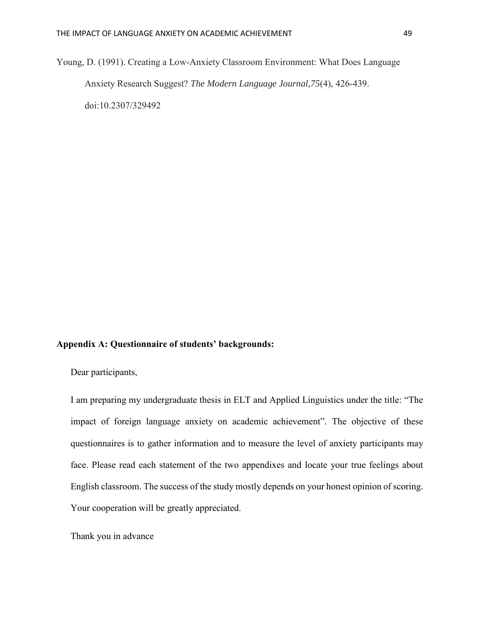Young, D. (1991). Creating a Low-Anxiety Classroom Environment: What Does Language Anxiety Research Suggest? *The Modern Language Journal,75*(4), 426-439. doi:10.2307/329492

### **Appendix A: Questionnaire of students' backgrounds:**

Dear participants,

I am preparing my undergraduate thesis in ELT and Applied Linguistics under the title: "The impact of foreign language anxiety on academic achievement". The objective of these questionnaires is to gather information and to measure the level of anxiety participants may face. Please read each statement of the two appendixes and locate your true feelings about English classroom. The success of the study mostly depends on your honest opinion of scoring. Your cooperation will be greatly appreciated.

Thank you in advance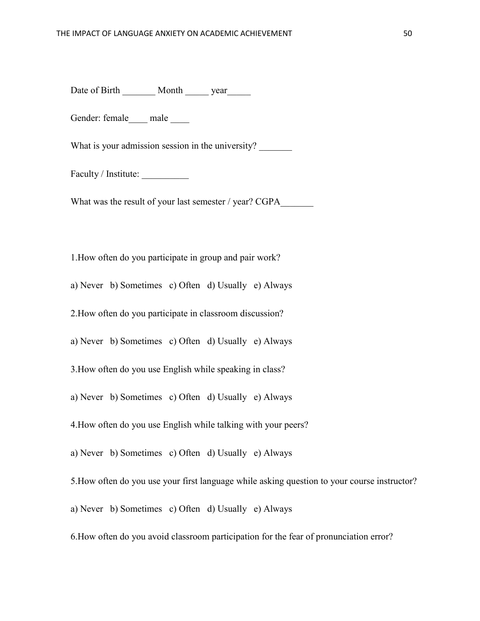Date of Birth \_\_\_\_\_\_ Month \_\_\_\_\_\_ year

Gender: female male

What is your admission session in the university?

Faculty / Institute:

What was the result of your last semester / year? CGPA

1.How often do you participate in group and pair work?

a) Never b) Sometimes c) Often d) Usually e) Always

2.How often do you participate in classroom discussion?

a) Never b) Sometimes c) Often d) Usually e) Always

3.How often do you use English while speaking in class?

a) Never b) Sometimes c) Often d) Usually e) Always

4.How often do you use English while talking with your peers?

a) Never b) Sometimes c) Often d) Usually e) Always

5.How often do you use your first language while asking question to your course instructor?

a) Never b) Sometimes c) Often d) Usually e) Always

6.How often do you avoid classroom participation for the fear of pronunciation error?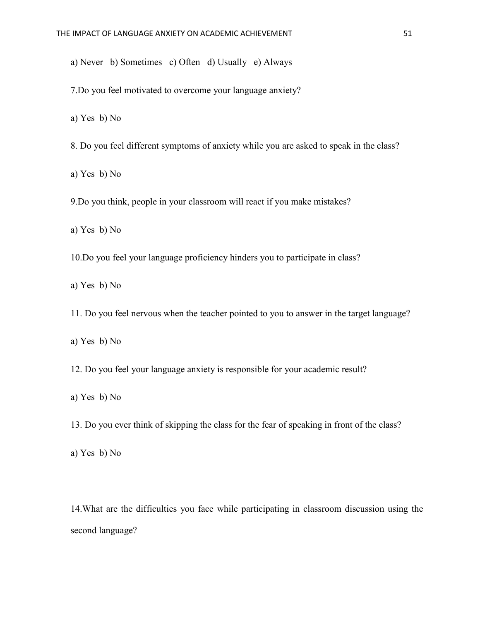a) Never b) Sometimes c) Often d) Usually e) Always

7.Do you feel motivated to overcome your language anxiety?

a) Yes b) No

8. Do you feel different symptoms of anxiety while you are asked to speak in the class?

a) Yes b) No

9.Do you think, people in your classroom will react if you make mistakes?

a) Yes b) No

10.Do you feel your language proficiency hinders you to participate in class?

a) Yes b) No

11. Do you feel nervous when the teacher pointed to you to answer in the target language?

a) Yes b) No

12. Do you feel your language anxiety is responsible for your academic result?

a) Yes b) No

13. Do you ever think of skipping the class for the fear of speaking in front of the class?

a) Yes b) No

14.What are the difficulties you face while participating in classroom discussion using the second language?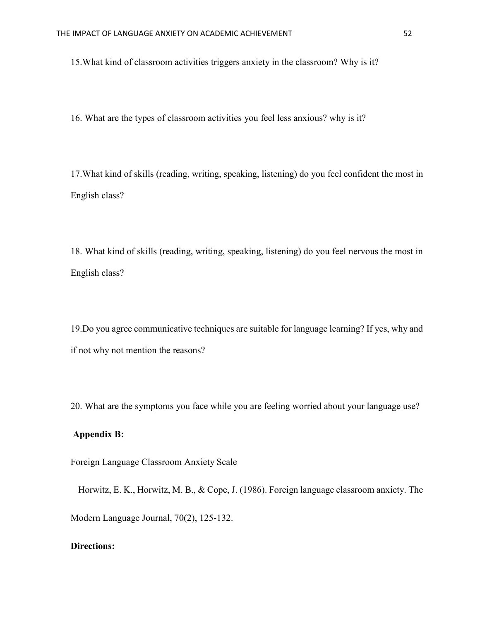15.What kind of classroom activities triggers anxiety in the classroom? Why is it?

16. What are the types of classroom activities you feel less anxious? why is it?

17.What kind of skills (reading, writing, speaking, listening) do you feel confident the most in English class?

18. What kind of skills (reading, writing, speaking, listening) do you feel nervous the most in English class?

19.Do you agree communicative techniques are suitable for language learning? If yes, why and if not why not mention the reasons?

20. What are the symptoms you face while you are feeling worried about your language use?

### **Appendix B:**

Foreign Language Classroom Anxiety Scale

Horwitz, E. K., Horwitz, M. B., & Cope, J. (1986). Foreign language classroom anxiety. The

Modern Language Journal, 70(2), 125‐132.

### **Directions:**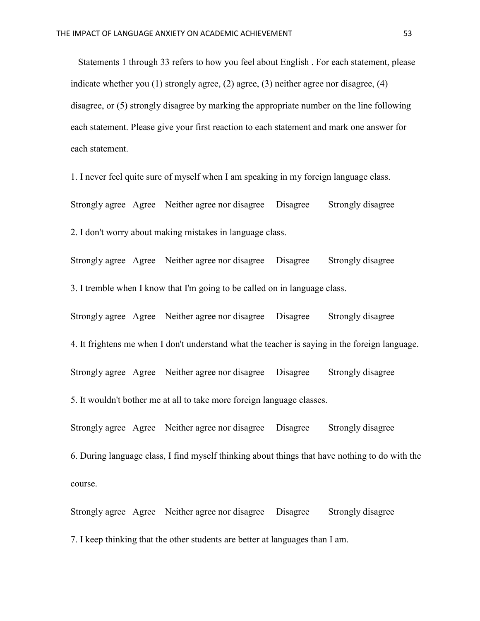Statements 1 through 33 refers to how you feel about English . For each statement, please indicate whether you (1) strongly agree, (2) agree, (3) neither agree nor disagree, (4) disagree, or (5) strongly disagree by marking the appropriate number on the line following each statement. Please give your first reaction to each statement and mark one answer for each statement.

1. I never feel quite sure of myself when I am speaking in my foreign language class.

Strongly agree Agree Neither agree nor disagree Disagree Strongly disagree

2. I don't worry about making mistakes in language class.

Strongly agree Agree Neither agree nor disagree Disagree Strongly disagree 3. I tremble when I know that I'm going to be called on in language class.

Strongly agree Agree Neither agree nor disagree Disagree Strongly disagree 4. It frightens me when I don't understand what the teacher is saying in the foreign language. Strongly agree Agree Neither agree nor disagree Disagree Strongly disagree 5. It wouldn't bother me at all to take more foreign language classes.

Strongly agree Agree Neither agree nor disagree Disagree Strongly disagree 6. During language class, I find myself thinking about things that have nothing to do with the course.

Strongly agree Agree Neither agree nor disagree Disagree Strongly disagree 7. I keep thinking that the other students are better at languages than I am.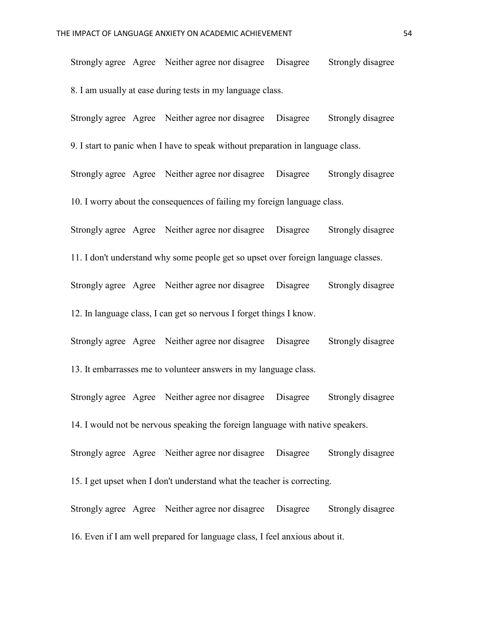Strongly agree Agree Neither agree nor disagree Disagree Strongly disagree 8. I am usually at ease during tests in my language class.

Strongly agree Agree Neither agree nor disagree Disagree Strongly disagree 9. I start to panic when I have to speak without preparation in language class.

Strongly agree Agree Neither agree nor disagree Disagree Strongly disagree 10. I worry about the consequences of failing my foreign language class.

Strongly agree Agree Neither agree nor disagree Disagree Strongly disagree

11. I don't understand why some people get so upset over foreign language classes.

Strongly agree Agree Neither agree nor disagree Disagree Strongly disagree 12. In language class, I can get so nervous I forget things I know.

Strongly agree Agree Neither agree nor disagree Disagree Strongly disagree 13. It embarrasses me to volunteer answers in my language class.

Strongly agree Agree Neither agree nor disagree Disagree Strongly disagree 14. I would not be nervous speaking the foreign language with native speakers.

Strongly agree Agree Neither agree nor disagree Disagree Strongly disagree 15. I get upset when I don't understand what the teacher is correcting.

Strongly agree Agree Neither agree nor disagree Disagree Strongly disagree 16. Even if I am well prepared for language class, I feel anxious about it.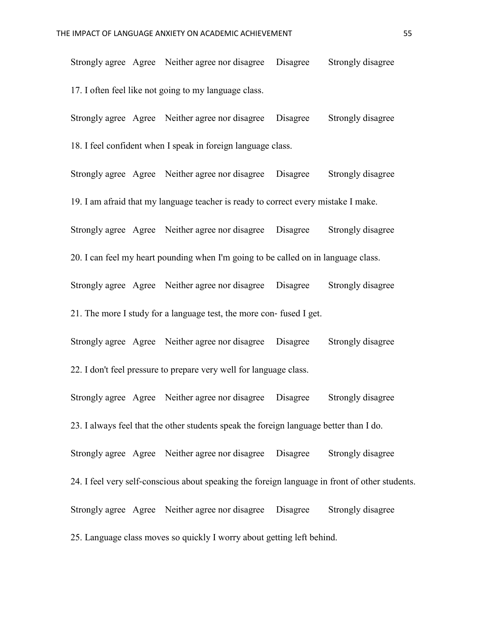Strongly agree Agree Neither agree nor disagree Disagree Strongly disagree 17. I often feel like not going to my language class.

Strongly agree Agree Neither agree nor disagree Disagree Strongly disagree 18. I feel confident when I speak in foreign language class.

Strongly agree Agree Neither agree nor disagree Disagree Strongly disagree 19. I am afraid that my language teacher is ready to correct every mistake I make. Strongly agree Agree Neither agree nor disagree Disagree Strongly disagree 20. I can feel my heart pounding when I'm going to be called on in language class. Strongly agree Agree Neither agree nor disagree Disagree Strongly disagree 21. The more I study for a language test, the more con‐ fused I get.

Strongly agree Agree Neither agree nor disagree Disagree Strongly disagree 22. I don't feel pressure to prepare very well for language class.

Strongly agree Agree Neither agree nor disagree Disagree Strongly disagree 23. I always feel that the other students speak the foreign language better than I do. Strongly agree Agree Neither agree nor disagree Disagree Strongly disagree 24. I feel very self‐conscious about speaking the foreign language in front of other students. Strongly agree Agree Neither agree nor disagree Disagree Strongly disagree 25. Language class moves so quickly I worry about getting left behind.